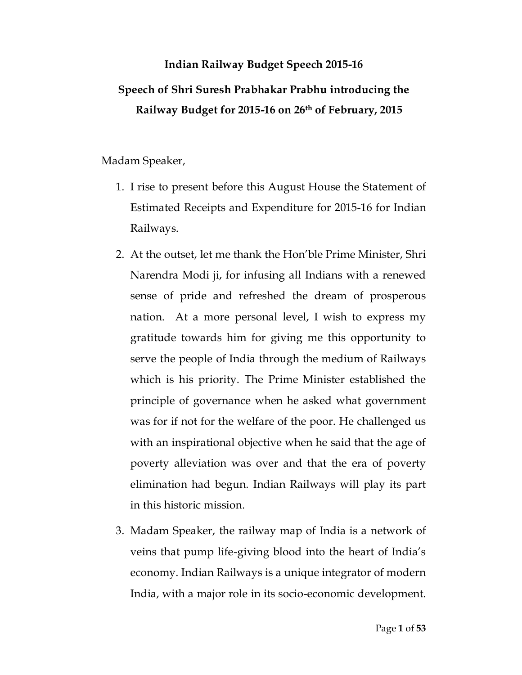# **Indian Railway Budget Speech 2015-16 Speech of Shri Suresh Prabhakar Prabhu introducing the Railway Budget for 2015-16 on 26th of February, 2015**

Madam Speaker,

- 1. I rise to present before this August House the Statement of Estimated Receipts and Expenditure for 2015-16 for Indian Railways.
- 2. At the outset, let me thank the Hon'ble Prime Minister, Shri Narendra Modi ji, for infusing all Indians with a renewed sense of pride and refreshed the dream of prosperous nation. At a more personal level, I wish to express my gratitude towards him for giving me this opportunity to serve the people of India through the medium of Railways which is his priority. The Prime Minister established the principle of governance when he asked what government was for if not for the welfare of the poor. He challenged us with an inspirational objective when he said that the age of poverty alleviation was over and that the era of poverty elimination had begun. Indian Railways will play its part in this historic mission.
- 3. Madam Speaker, the railway map of India is a network of veins that pump life-giving blood into the heart of India's economy. Indian Railways is a unique integrator of modern India, with a major role in its socio-economic development.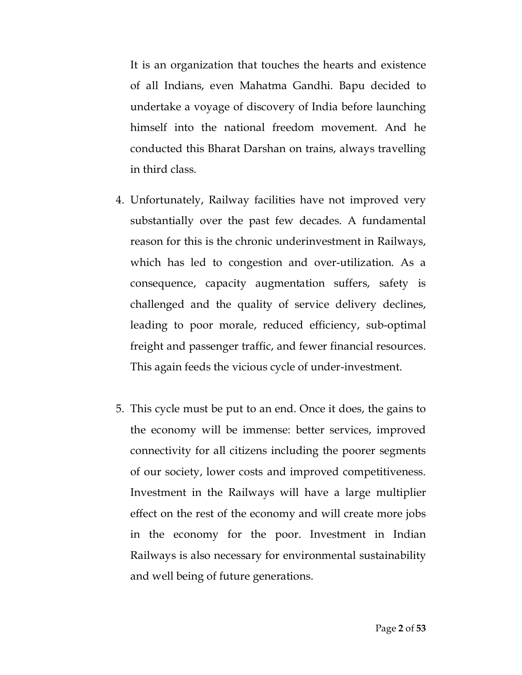It is an organization that touches the hearts and existence of all Indians, even Mahatma Gandhi. Bapu decided to undertake a voyage of discovery of India before launching himself into the national freedom movement. And he conducted this Bharat Darshan on trains, always travelling in third class.

- 4. Unfortunately, Railway facilities have not improved very substantially over the past few decades. A fundamental reason for this is the chronic underinvestment in Railways, which has led to congestion and over-utilization. As a consequence, capacity augmentation suffers, safety is challenged and the quality of service delivery declines, leading to poor morale, reduced efficiency, sub-optimal freight and passenger traffic, and fewer financial resources. This again feeds the vicious cycle of under-investment.
- 5. This cycle must be put to an end. Once it does, the gains to the economy will be immense: better services, improved connectivity for all citizens including the poorer segments of our society, lower costs and improved competitiveness. Investment in the Railways will have a large multiplier effect on the rest of the economy and will create more jobs in the economy for the poor. Investment in Indian Railways is also necessary for environmental sustainability and well being of future generations.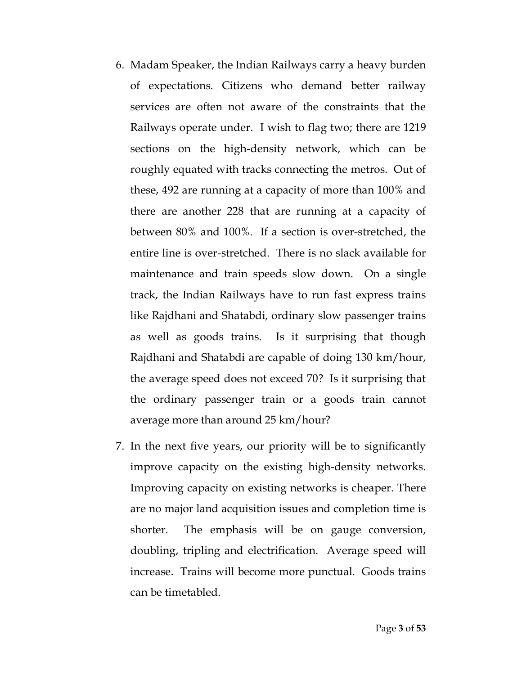- 6. Madam Speaker, the Indian Railways carry a heavy burden of expectations. Citizens who demand better railway services are often not aware of the constraints that the Railways operate under. I wish to flag two; there are 1219 sections on the high-density network, which can be roughly equated with tracks connecting the metros. Out of these, 492 are running at a capacity of more than 100% and there are another 228 that are running at a capacity of between 80% and 100%. If a section is over-stretched, the entire line is over-stretched. There is no slack available for maintenance and train speeds slow down. On a single track, the Indian Railways have to run fast express trains like Rajdhani and Shatabdi, ordinary slow passenger trains as well as goods trains. Is it surprising that though Rajdhani and Shatabdi are capable of doing 130 km/hour, the average speed does not exceed 70? Is it surprising that the ordinary passenger train or a goods train cannot average more than around 25 km/hour?
- 7. In the next five years, our priority will be to significantly improve capacity on the existing high-density networks. Improving capacity on existing networks is cheaper. There are no major land acquisition issues and completion time is shorter. The emphasis will be on gauge conversion, doubling, tripling and electrification. Average speed will increase. Trains will become more punctual. Goods trains can be timetabled.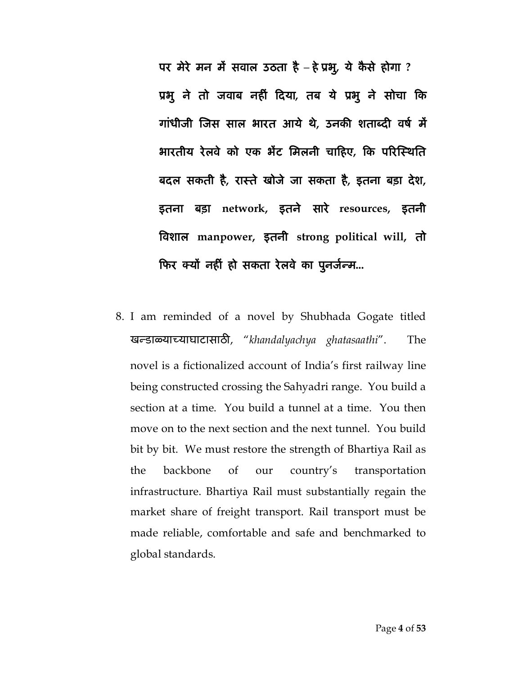**पर मेरे मन मɅ सवाल उठता है – हेĤभु, ये कै से होगा ? Ĥभु ने तो जवाब नहȣं Ǒदया, तब ये Ĥभु ने सोचा Ǒक गांधीजी ǔजस साल भारत आये थे, उनकȧ शताÞदȣ वष[ मɅ भारतीय रेलवे को एक भɅट िमलनी चाǑहए, Ǒक पǐरǔèथित बदल सकती है, राèते खोजे जा सकता है, इतना बड़ा देश, इतना बड़ा network, इतने सारे resources, इतनी ǒवशाल manpower, इतनी strong political will, तो**  फिर क्यों नहीं हो सकता रेलवे का पूनर्जन्म...

8. I am reminded of a novel by Shubhada Gogate titled खÛडाäयाÍयाघाटासाठȤ, "*khandalyachya ghatasaathi*". The novel is a fictionalized account of India's first railway line being constructed crossing the Sahyadri range. You build a section at a time. You build a tunnel at a time. You then move on to the next section and the next tunnel. You build bit by bit. We must restore the strength of Bhartiya Rail as the backbone of our country's transportation infrastructure. Bhartiya Rail must substantially regain the market share of freight transport. Rail transport must be made reliable, comfortable and safe and benchmarked to global standards.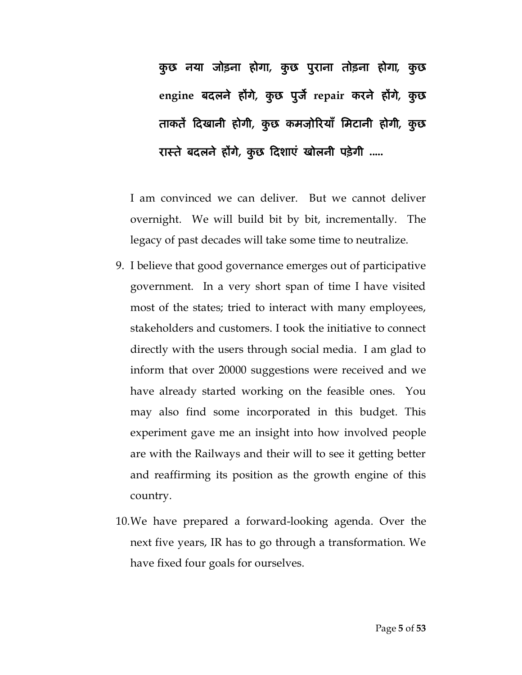**कु छ नया जोड़ना होगा, कु छ पुराना तोड़ना होगा, कु छ engine बदलने हɉगे, कु छ पुजȶ repair करने हɉगे, कु छ ताकतɅ Ǒदखानी होगी, कु छ कमजो़ǐरयाँ िमटानी होगी, कु छ राèते बदलने हɉगे, कु छ Ǒदशाएं खोलनी पड़ेगी .....**

I am convinced we can deliver. But we cannot deliver overnight. We will build bit by bit, incrementally. The legacy of past decades will take some time to neutralize.

- 9. I believe that good governance emerges out of participative government. In a very short span of time I have visited most of the states; tried to interact with many employees, stakeholders and customers. I took the initiative to connect directly with the users through social media. I am glad to inform that over 20000 suggestions were received and we have already started working on the feasible ones. You may also find some incorporated in this budget. This experiment gave me an insight into how involved people are with the Railways and their will to see it getting better and reaffirming its position as the growth engine of this country.
- 10.We have prepared a forward-looking agenda. Over the next five years, IR has to go through a transformation. We have fixed four goals for ourselves.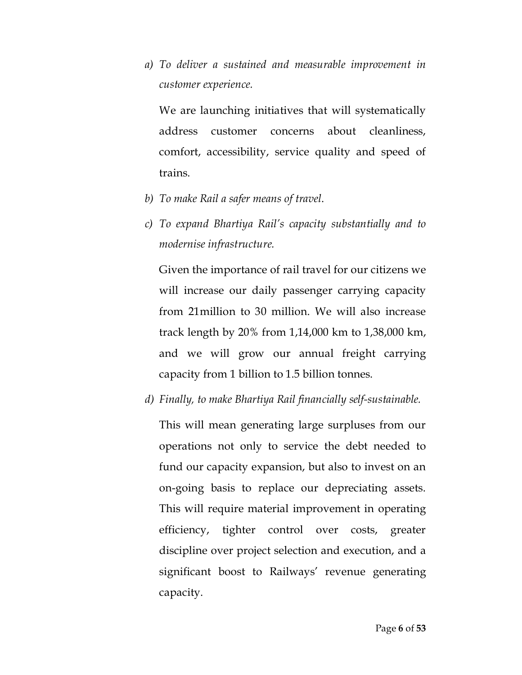*a) To deliver a sustained and measurable improvement in customer experience.* 

We are launching initiatives that will systematically address customer concerns about cleanliness, comfort, accessibility, service quality and speed of trains.

- *b) To make Rail a safer means of travel*.
- *c) To expand Bhartiya Rail's capacity substantially and to modernise infrastructure.*

Given the importance of rail travel for our citizens we will increase our daily passenger carrying capacity from 21million to 30 million. We will also increase track length by 20% from 1,14,000 km to 1,38,000 km, and we will grow our annual freight carrying capacity from 1 billion to 1.5 billion tonnes.

*d) Finally, to make Bhartiya Rail financially self-sustainable.*

This will mean generating large surpluses from our operations not only to service the debt needed to fund our capacity expansion, but also to invest on an on-going basis to replace our depreciating assets. This will require material improvement in operating efficiency, tighter control over costs, greater discipline over project selection and execution, and a significant boost to Railways' revenue generating capacity.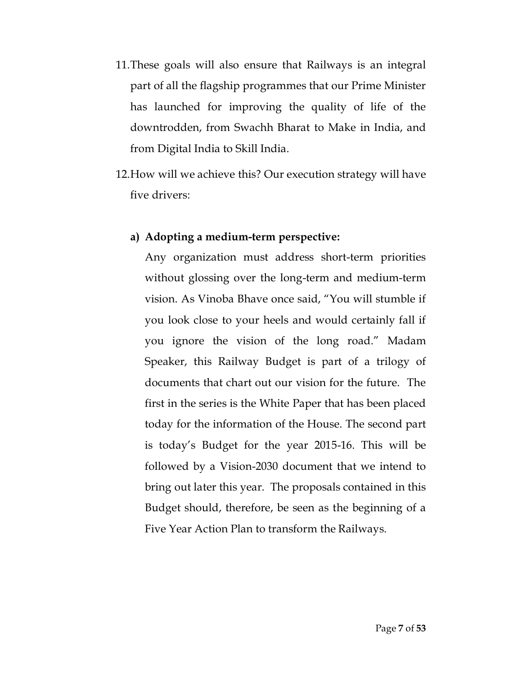- 11.These goals will also ensure that Railways is an integral part of all the flagship programmes that our Prime Minister has launched for improving the quality of life of the downtrodden, from Swachh Bharat to Make in India, and from Digital India to Skill India.
- 12.How will we achieve this? Our execution strategy will have five drivers:

## **a) Adopting a medium-term perspective:**

Any organization must address short-term priorities without glossing over the long-term and medium-term vision. As Vinoba Bhave once said, "You will stumble if you look close to your heels and would certainly fall if you ignore the vision of the long road." Madam Speaker, this Railway Budget is part of a trilogy of documents that chart out our vision for the future. The first in the series is the White Paper that has been placed today for the information of the House. The second part is today's Budget for the year 2015-16. This will be followed by a Vision-2030 document that we intend to bring out later this year. The proposals contained in this Budget should, therefore, be seen as the beginning of a Five Year Action Plan to transform the Railways.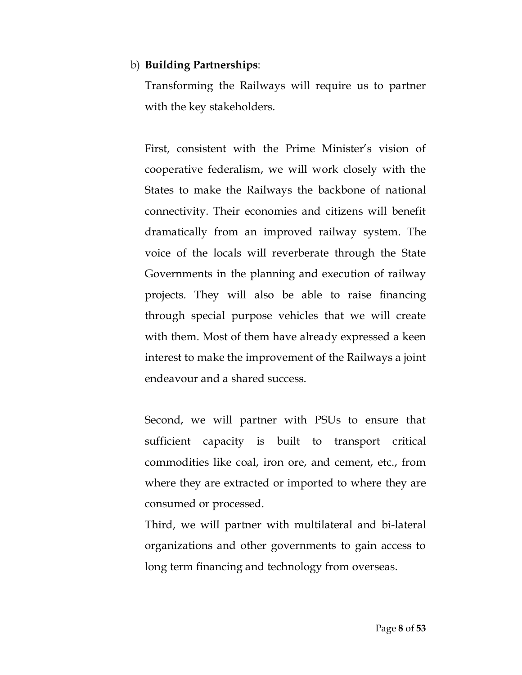## b) **Building Partnerships**:

Transforming the Railways will require us to partner with the key stakeholders.

First, consistent with the Prime Minister's vision of cooperative federalism, we will work closely with the States to make the Railways the backbone of national connectivity. Their economies and citizens will benefit dramatically from an improved railway system. The voice of the locals will reverberate through the State Governments in the planning and execution of railway projects. They will also be able to raise financing through special purpose vehicles that we will create with them. Most of them have already expressed a keen interest to make the improvement of the Railways a joint endeavour and a shared success.

Second, we will partner with PSUs to ensure that sufficient capacity is built to transport critical commodities like coal, iron ore, and cement, etc., from where they are extracted or imported to where they are consumed or processed.

Third, we will partner with multilateral and bi-lateral organizations and other governments to gain access to long term financing and technology from overseas.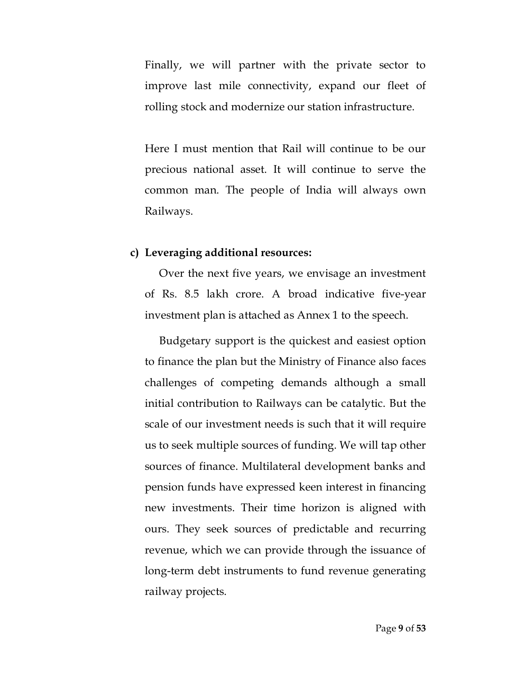Finally, we will partner with the private sector to improve last mile connectivity, expand our fleet of rolling stock and modernize our station infrastructure.

Here I must mention that Rail will continue to be our precious national asset. It will continue to serve the common man. The people of India will always own Railways.

#### **c) Leveraging additional resources:**

Over the next five years, we envisage an investment of Rs. 8.5 lakh crore. A broad indicative five-year investment plan is attached as Annex 1 to the speech.

Budgetary support is the quickest and easiest option to finance the plan but the Ministry of Finance also faces challenges of competing demands although a small initial contribution to Railways can be catalytic. But the scale of our investment needs is such that it will require us to seek multiple sources of funding. We will tap other sources of finance. Multilateral development banks and pension funds have expressed keen interest in financing new investments. Their time horizon is aligned with ours. They seek sources of predictable and recurring revenue, which we can provide through the issuance of long-term debt instruments to fund revenue generating railway projects.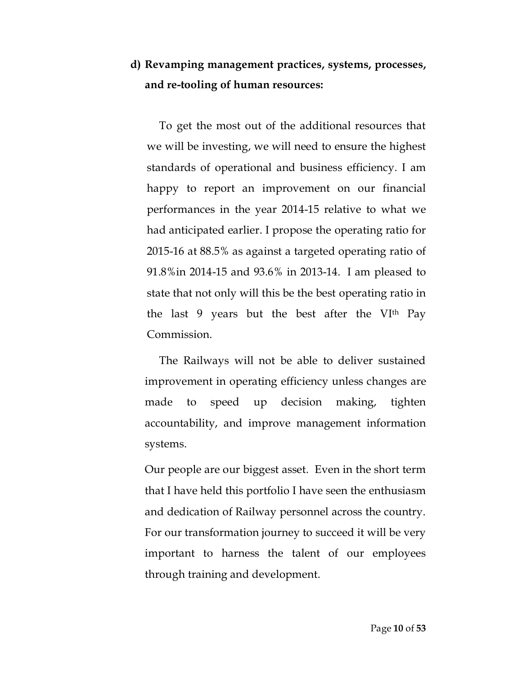## **d) Revamping management practices, systems, processes, and re-tooling of human resources:**

To get the most out of the additional resources that we will be investing, we will need to ensure the highest standards of operational and business efficiency. I am happy to report an improvement on our financial performances in the year 2014-15 relative to what we had anticipated earlier. I propose the operating ratio for 2015-16 at 88.5% as against a targeted operating ratio of 91.8%in 2014-15 and 93.6% in 2013-14. I am pleased to state that not only will this be the best operating ratio in the last 9 years but the best after the VI<sup>th</sup> Pay Commission.

The Railways will not be able to deliver sustained improvement in operating efficiency unless changes are made to speed up decision making, tighten accountability, and improve management information systems.

Our people are our biggest asset. Even in the short term that I have held this portfolio I have seen the enthusiasm and dedication of Railway personnel across the country. For our transformation journey to succeed it will be very important to harness the talent of our employees through training and development.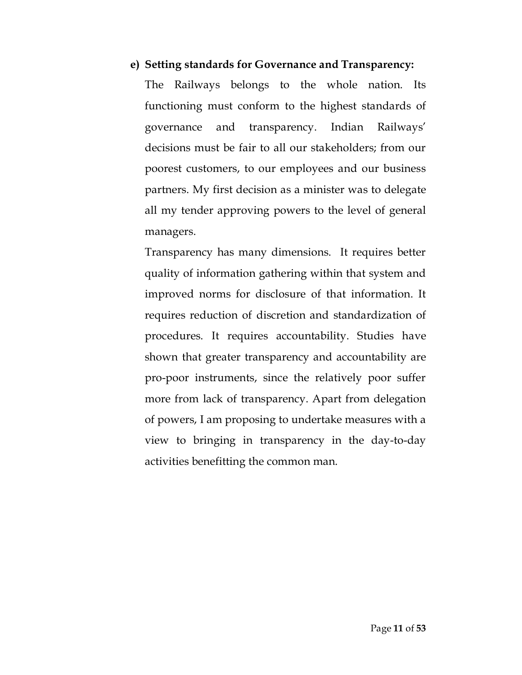## **e) Setting standards for Governance and Transparency:**

The Railways belongs to the whole nation. Its functioning must conform to the highest standards of governance and transparency. Indian Railways' decisions must be fair to all our stakeholders; from our poorest customers, to our employees and our business partners. My first decision as a minister was to delegate all my tender approving powers to the level of general managers.

Transparency has many dimensions. It requires better quality of information gathering within that system and improved norms for disclosure of that information. It requires reduction of discretion and standardization of procedures. It requires accountability. Studies have shown that greater transparency and accountability are pro-poor instruments, since the relatively poor suffer more from lack of transparency. Apart from delegation of powers, I am proposing to undertake measures with a view to bringing in transparency in the day-to-day activities benefitting the common man.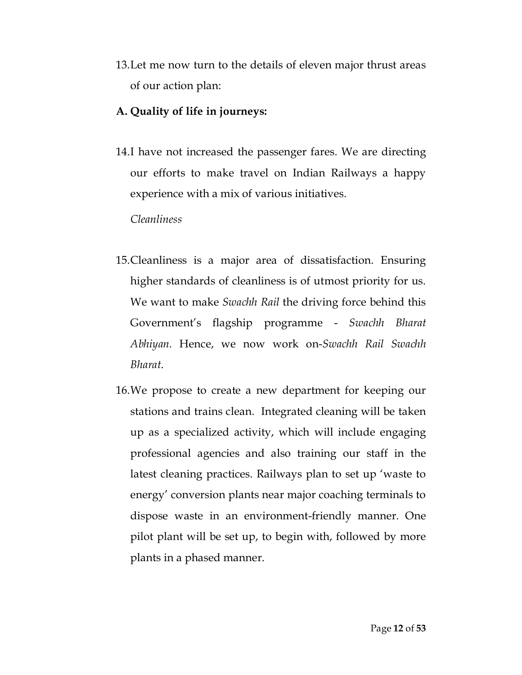13.Let me now turn to the details of eleven major thrust areas of our action plan:

## **A. Quality of life in journeys:**

14.I have not increased the passenger fares. We are directing our efforts to make travel on Indian Railways a happy experience with a mix of various initiatives.

*Cleanliness*

- 15.Cleanliness is a major area of dissatisfaction. Ensuring higher standards of cleanliness is of utmost priority for us. We want to make *Swachh Rail* the driving force behind this Government's flagship programme - *Swachh Bharat Abhiyan.* Hence, we now work on-*Swachh Rail Swachh Bharat*.
- 16.We propose to create a new department for keeping our stations and trains clean. Integrated cleaning will be taken up as a specialized activity, which will include engaging professional agencies and also training our staff in the latest cleaning practices. Railways plan to set up 'waste to energy' conversion plants near major coaching terminals to dispose waste in an environment-friendly manner. One pilot plant will be set up, to begin with, followed by more plants in a phased manner.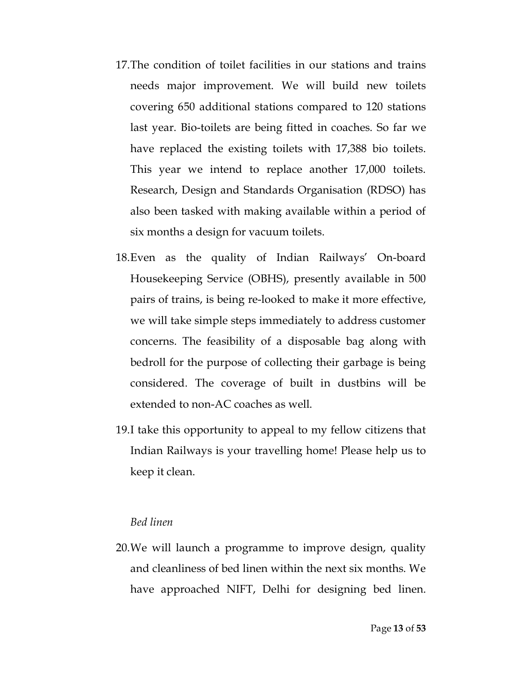- 17.The condition of toilet facilities in our stations and trains needs major improvement. We will build new toilets covering 650 additional stations compared to 120 stations last year. Bio-toilets are being fitted in coaches. So far we have replaced the existing toilets with 17,388 bio toilets. This year we intend to replace another 17,000 toilets. Research, Design and Standards Organisation (RDSO) has also been tasked with making available within a period of six months a design for vacuum toilets.
- 18.Even as the quality of Indian Railways' On-board Housekeeping Service (OBHS), presently available in 500 pairs of trains, is being re-looked to make it more effective, we will take simple steps immediately to address customer concerns. The feasibility of a disposable bag along with bedroll for the purpose of collecting their garbage is being considered. The coverage of built in dustbins will be extended to non-AC coaches as well.
- 19.I take this opportunity to appeal to my fellow citizens that Indian Railways is your travelling home! Please help us to keep it clean.

#### *Bed linen*

20.We will launch a programme to improve design, quality and cleanliness of bed linen within the next six months. We have approached NIFT, Delhi for designing bed linen.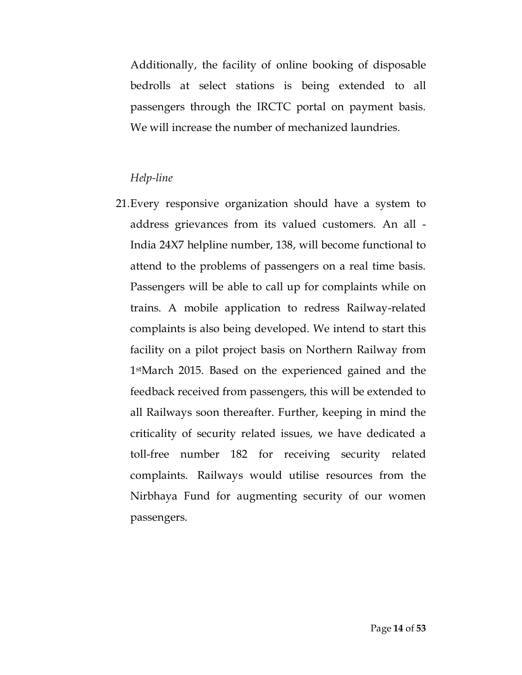Additionally, the facility of online booking of disposable bedrolls at select stations is being extended to all passengers through the IRCTC portal on payment basis. We will increase the number of mechanized laundries.

## *Help-line*

21.Every responsive organization should have a system to address grievances from its valued customers. An all - India 24X7 helpline number, 138, will become functional to attend to the problems of passengers on a real time basis. Passengers will be able to call up for complaints while on trains. A mobile application to redress Railway-related complaints is also being developed. We intend to start this facility on a pilot project basis on Northern Railway from 1 stMarch 2015. Based on the experienced gained and the feedback received from passengers, this will be extended to all Railways soon thereafter. Further, keeping in mind the criticality of security related issues, we have dedicated a toll-free number 182 for receiving security related complaints. Railways would utilise resources from the Nirbhaya Fund for augmenting security of our women passengers.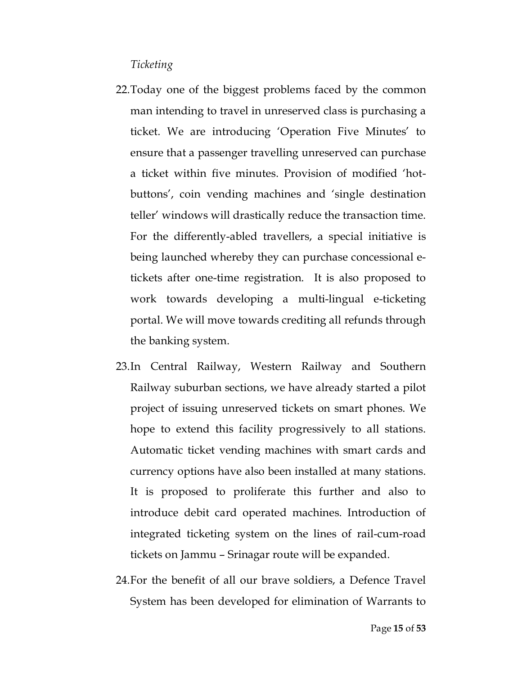## *Ticketing*

- 22.Today one of the biggest problems faced by the common man intending to travel in unreserved class is purchasing a ticket. We are introducing 'Operation Five Minutes' to ensure that a passenger travelling unreserved can purchase a ticket within five minutes. Provision of modified 'hotbuttons', coin vending machines and 'single destination teller' windows will drastically reduce the transaction time. For the differently-abled travellers, a special initiative is being launched whereby they can purchase concessional etickets after one-time registration. It is also proposed to work towards developing a multi-lingual e-ticketing portal. We will move towards crediting all refunds through the banking system.
- 23.In Central Railway, Western Railway and Southern Railway suburban sections, we have already started a pilot project of issuing unreserved tickets on smart phones. We hope to extend this facility progressively to all stations. Automatic ticket vending machines with smart cards and currency options have also been installed at many stations. It is proposed to proliferate this further and also to introduce debit card operated machines. Introduction of integrated ticketing system on the lines of rail-cum-road tickets on Jammu – Srinagar route will be expanded.
- 24.For the benefit of all our brave soldiers, a Defence Travel System has been developed for elimination of Warrants to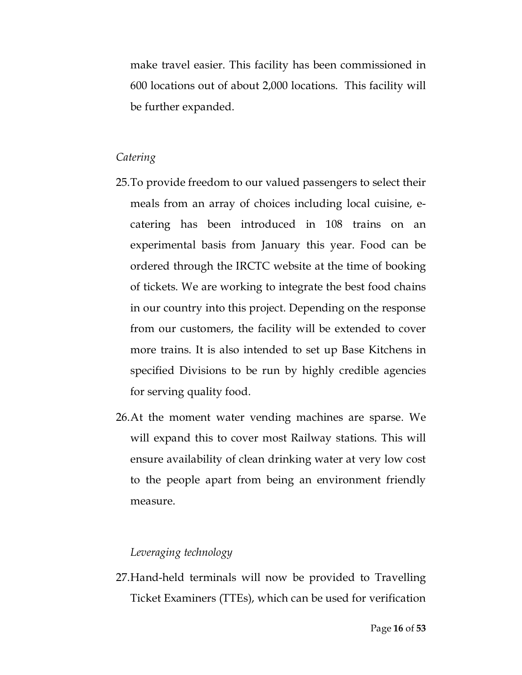make travel easier. This facility has been commissioned in 600 locations out of about 2,000 locations. This facility will be further expanded.

#### *Catering*

- 25.To provide freedom to our valued passengers to select their meals from an array of choices including local cuisine, ecatering has been introduced in 108 trains on an experimental basis from January this year. Food can be ordered through the IRCTC website at the time of booking of tickets. We are working to integrate the best food chains in our country into this project. Depending on the response from our customers, the facility will be extended to cover more trains. It is also intended to set up Base Kitchens in specified Divisions to be run by highly credible agencies for serving quality food.
- 26.At the moment water vending machines are sparse. We will expand this to cover most Railway stations. This will ensure availability of clean drinking water at very low cost to the people apart from being an environment friendly measure.

## *Leveraging technology*

27.Hand-held terminals will now be provided to Travelling Ticket Examiners (TTEs), which can be used for verification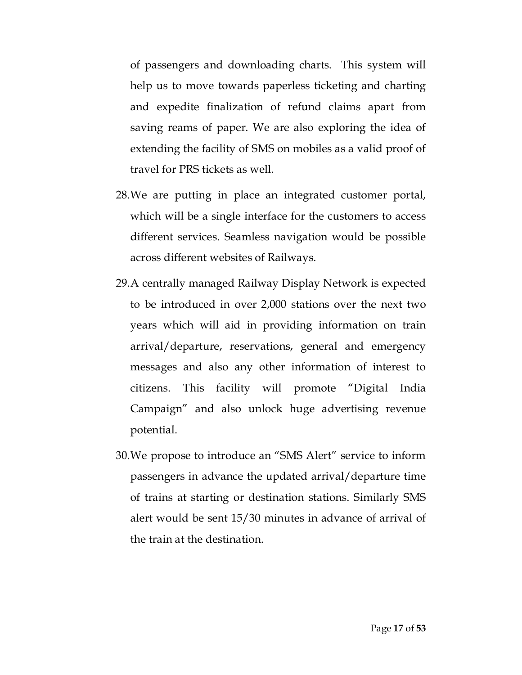of passengers and downloading charts. This system will help us to move towards paperless ticketing and charting and expedite finalization of refund claims apart from saving reams of paper. We are also exploring the idea of extending the facility of SMS on mobiles as a valid proof of travel for PRS tickets as well.

- 28.We are putting in place an integrated customer portal, which will be a single interface for the customers to access different services. Seamless navigation would be possible across different websites of Railways.
- 29.A centrally managed Railway Display Network is expected to be introduced in over 2,000 stations over the next two years which will aid in providing information on train arrival/departure, reservations, general and emergency messages and also any other information of interest to citizens. This facility will promote "Digital India Campaign" and also unlock huge advertising revenue potential.
- 30.We propose to introduce an "SMS Alert" service to inform passengers in advance the updated arrival/departure time of trains at starting or destination stations. Similarly SMS alert would be sent 15/30 minutes in advance of arrival of the train at the destination.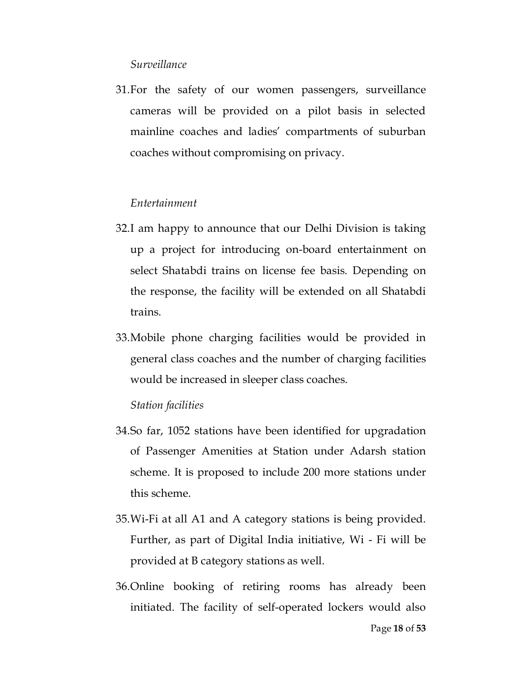### *Surveillance*

31.For the safety of our women passengers, surveillance cameras will be provided on a pilot basis in selected mainline coaches and ladies' compartments of suburban coaches without compromising on privacy.

## *Entertainment*

- 32.I am happy to announce that our Delhi Division is taking up a project for introducing on-board entertainment on select Shatabdi trains on license fee basis. Depending on the response, the facility will be extended on all Shatabdi trains.
- 33.Mobile phone charging facilities would be provided in general class coaches and the number of charging facilities would be increased in sleeper class coaches.

#### *Station facilities*

- 34.So far, 1052 stations have been identified for upgradation of Passenger Amenities at Station under Adarsh station scheme. It is proposed to include 200 more stations under this scheme.
- 35.Wi-Fi at all A1 and A category stations is being provided. Further, as part of Digital India initiative, Wi - Fi will be provided at B category stations as well.
- 36.Online booking of retiring rooms has already been initiated. The facility of self-operated lockers would also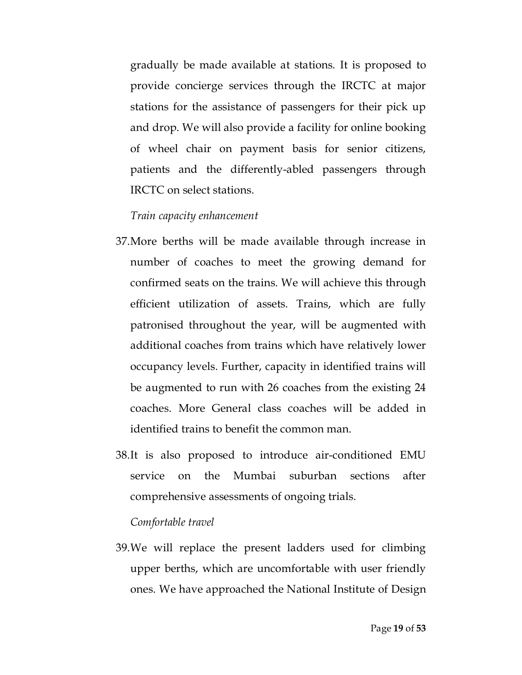gradually be made available at stations. It is proposed to provide concierge services through the IRCTC at major stations for the assistance of passengers for their pick up and drop. We will also provide a facility for online booking of wheel chair on payment basis for senior citizens, patients and the differently-abled passengers through IRCTC on select stations.

## *Train capacity enhancement*

- 37.More berths will be made available through increase in number of coaches to meet the growing demand for confirmed seats on the trains. We will achieve this through efficient utilization of assets. Trains, which are fully patronised throughout the year, will be augmented with additional coaches from trains which have relatively lower occupancy levels. Further, capacity in identified trains will be augmented to run with 26 coaches from the existing 24 coaches. More General class coaches will be added in identified trains to benefit the common man.
- 38.It is also proposed to introduce air-conditioned EMU service on the Mumbai suburban sections after comprehensive assessments of ongoing trials.

#### *Comfortable travel*

39.We will replace the present ladders used for climbing upper berths, which are uncomfortable with user friendly ones. We have approached the National Institute of Design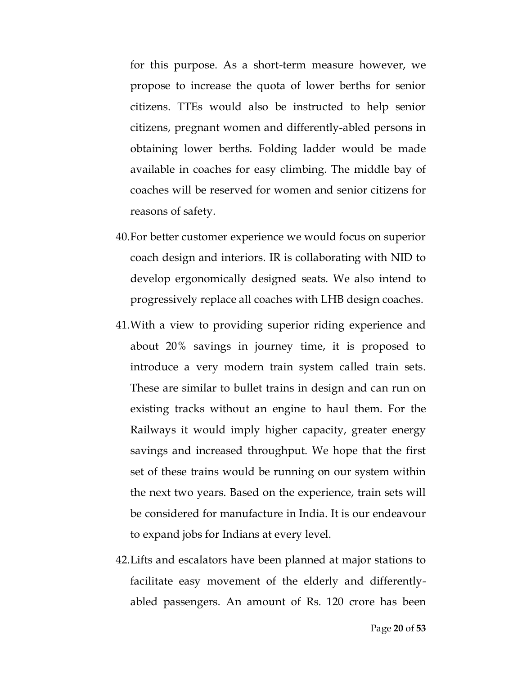for this purpose. As a short-term measure however, we propose to increase the quota of lower berths for senior citizens. TTEs would also be instructed to help senior citizens, pregnant women and differently-abled persons in obtaining lower berths. Folding ladder would be made available in coaches for easy climbing. The middle bay of coaches will be reserved for women and senior citizens for reasons of safety.

- 40.For better customer experience we would focus on superior coach design and interiors. IR is collaborating with NID to develop ergonomically designed seats. We also intend to progressively replace all coaches with LHB design coaches.
- 41.With a view to providing superior riding experience and about 20% savings in journey time, it is proposed to introduce a very modern train system called train sets. These are similar to bullet trains in design and can run on existing tracks without an engine to haul them. For the Railways it would imply higher capacity, greater energy savings and increased throughput. We hope that the first set of these trains would be running on our system within the next two years. Based on the experience, train sets will be considered for manufacture in India. It is our endeavour to expand jobs for Indians at every level.
- 42.Lifts and escalators have been planned at major stations to facilitate easy movement of the elderly and differentlyabled passengers. An amount of Rs. 120 crore has been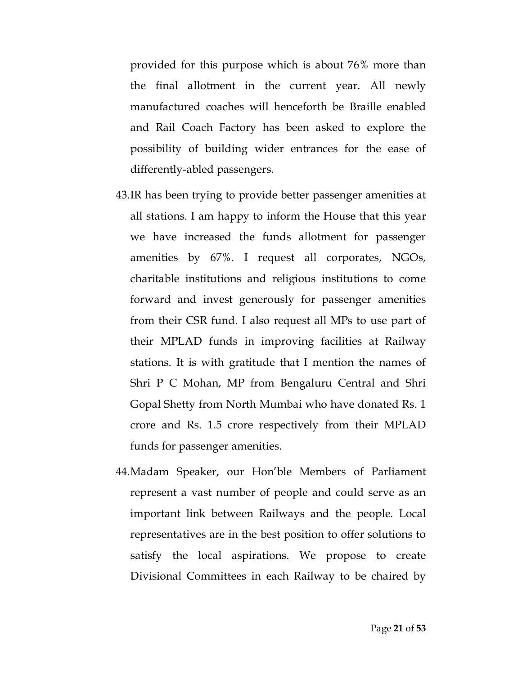provided for this purpose which is about 76% more than the final allotment in the current year. All newly manufactured coaches will henceforth be Braille enabled and Rail Coach Factory has been asked to explore the possibility of building wider entrances for the ease of differently-abled passengers.

- 43.IR has been trying to provide better passenger amenities at all stations. I am happy to inform the House that this year we have increased the funds allotment for passenger amenities by 67%. I request all corporates, NGOs, charitable institutions and religious institutions to come forward and invest generously for passenger amenities from their CSR fund. I also request all MPs to use part of their MPLAD funds in improving facilities at Railway stations. It is with gratitude that I mention the names of Shri P C Mohan, MP from Bengaluru Central and Shri Gopal Shetty from North Mumbai who have donated Rs. 1 crore and Rs. 1.5 crore respectively from their MPLAD funds for passenger amenities.
- 44.Madam Speaker, our Hon'ble Members of Parliament represent a vast number of people and could serve as an important link between Railways and the people. Local representatives are in the best position to offer solutions to satisfy the local aspirations. We propose to create Divisional Committees in each Railway to be chaired by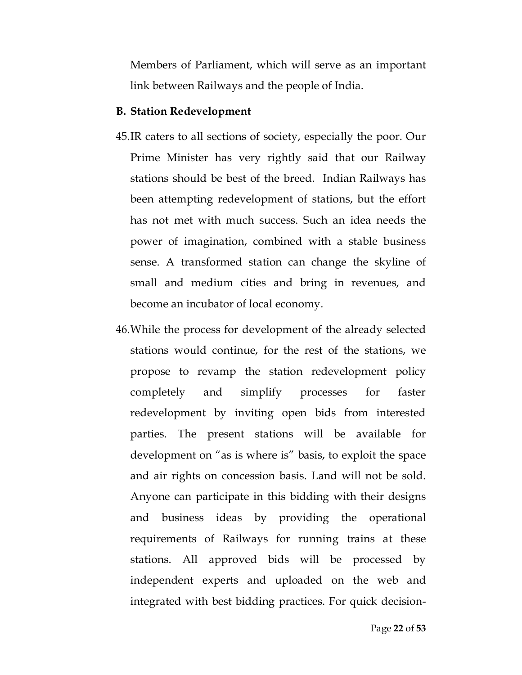Members of Parliament, which will serve as an important link between Railways and the people of India.

#### **B. Station Redevelopment**

- 45.IR caters to all sections of society, especially the poor. Our Prime Minister has very rightly said that our Railway stations should be best of the breed. Indian Railways has been attempting redevelopment of stations, but the effort has not met with much success. Such an idea needs the power of imagination, combined with a stable business sense. A transformed station can change the skyline of small and medium cities and bring in revenues, and become an incubator of local economy.
- 46.While the process for development of the already selected stations would continue, for the rest of the stations, we propose to revamp the station redevelopment policy completely and simplify processes for faster redevelopment by inviting open bids from interested parties. The present stations will be available for development on "as is where is" basis, to exploit the space and air rights on concession basis. Land will not be sold. Anyone can participate in this bidding with their designs and business ideas by providing the operational requirements of Railways for running trains at these stations. All approved bids will be processed by independent experts and uploaded on the web and integrated with best bidding practices. For quick decision-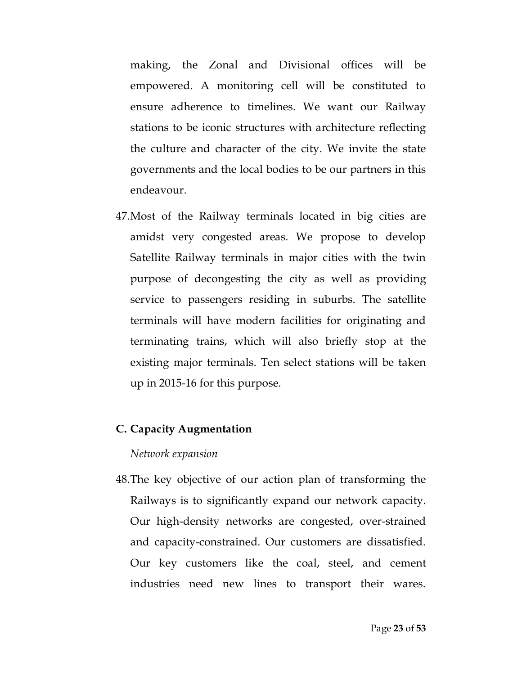making, the Zonal and Divisional offices will be empowered. A monitoring cell will be constituted to ensure adherence to timelines. We want our Railway stations to be iconic structures with architecture reflecting the culture and character of the city. We invite the state governments and the local bodies to be our partners in this endeavour.

47.Most of the Railway terminals located in big cities are amidst very congested areas. We propose to develop Satellite Railway terminals in major cities with the twin purpose of decongesting the city as well as providing service to passengers residing in suburbs. The satellite terminals will have modern facilities for originating and terminating trains, which will also briefly stop at the existing major terminals. Ten select stations will be taken up in 2015-16 for this purpose.

## **C. Capacity Augmentation**

#### *Network expansion*

48.The key objective of our action plan of transforming the Railways is to significantly expand our network capacity. Our high-density networks are congested, over-strained and capacity-constrained. Our customers are dissatisfied. Our key customers like the coal, steel, and cement industries need new lines to transport their wares.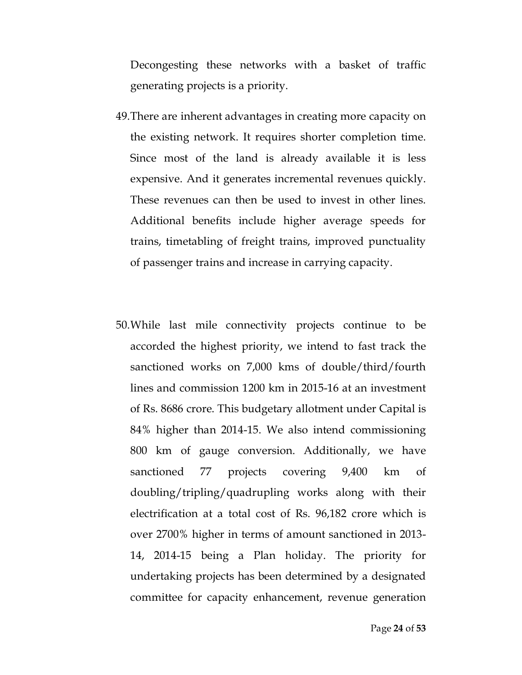Decongesting these networks with a basket of traffic generating projects is a priority.

- 49.There are inherent advantages in creating more capacity on the existing network. It requires shorter completion time. Since most of the land is already available it is less expensive. And it generates incremental revenues quickly. These revenues can then be used to invest in other lines. Additional benefits include higher average speeds for trains, timetabling of freight trains, improved punctuality of passenger trains and increase in carrying capacity.
- 50.While last mile connectivity projects continue to be accorded the highest priority, we intend to fast track the sanctioned works on 7,000 kms of double/third/fourth lines and commission 1200 km in 2015-16 at an investment of Rs. 8686 crore. This budgetary allotment under Capital is 84% higher than 2014-15. We also intend commissioning 800 km of gauge conversion. Additionally, we have sanctioned 77 projects covering 9,400 km of doubling/tripling/quadrupling works along with their electrification at a total cost of Rs. 96,182 crore which is over 2700% higher in terms of amount sanctioned in 2013- 14, 2014-15 being a Plan holiday. The priority for undertaking projects has been determined by a designated committee for capacity enhancement, revenue generation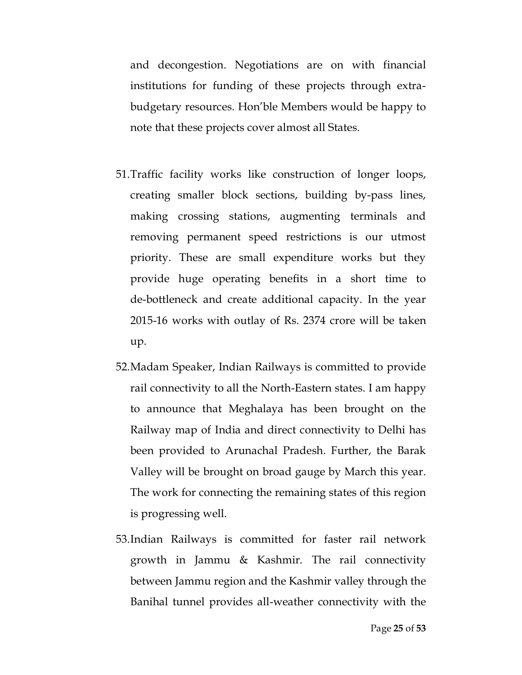and decongestion. Negotiations are on with financial institutions for funding of these projects through extrabudgetary resources. Hon'ble Members would be happy to note that these projects cover almost all States.

- 51.Traffic facility works like construction of longer loops, creating smaller block sections, building by-pass lines, making crossing stations, augmenting terminals and removing permanent speed restrictions is our utmost priority. These are small expenditure works but they provide huge operating benefits in a short time to de-bottleneck and create additional capacity. In the year 2015-16 works with outlay of Rs. 2374 crore will be taken up.
- 52.Madam Speaker, Indian Railways is committed to provide rail connectivity to all the North-Eastern states. I am happy to announce that Meghalaya has been brought on the Railway map of India and direct connectivity to Delhi has been provided to Arunachal Pradesh. Further, the Barak Valley will be brought on broad gauge by March this year. The work for connecting the remaining states of this region is progressing well.
- 53.Indian Railways is committed for faster rail network growth in Jammu & Kashmir. The rail connectivity between Jammu region and the Kashmir valley through the Banihal tunnel provides all-weather connectivity with the

Page **25** of **53**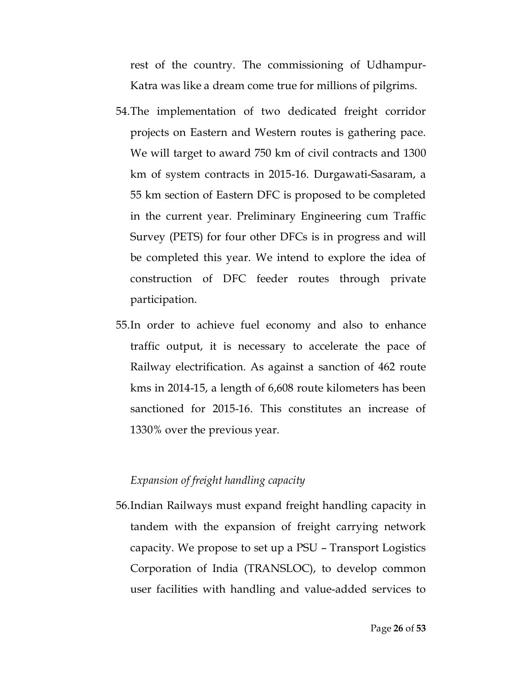rest of the country. The commissioning of Udhampur-Katra was like a dream come true for millions of pilgrims.

- 54.The implementation of two dedicated freight corridor projects on Eastern and Western routes is gathering pace. We will target to award 750 km of civil contracts and 1300 km of system contracts in 2015-16. Durgawati-Sasaram, a 55 km section of Eastern DFC is proposed to be completed in the current year. Preliminary Engineering cum Traffic Survey (PETS) for four other DFCs is in progress and will be completed this year. We intend to explore the idea of construction of DFC feeder routes through private participation.
- 55.In order to achieve fuel economy and also to enhance traffic output, it is necessary to accelerate the pace of Railway electrification. As against a sanction of 462 route kms in 2014-15, a length of 6,608 route kilometers has been sanctioned for 2015-16. This constitutes an increase of 1330% over the previous year.

## *Expansion of freight handling capacity*

56.Indian Railways must expand freight handling capacity in tandem with the expansion of freight carrying network capacity. We propose to set up a PSU – Transport Logistics Corporation of India (TRANSLOC), to develop common user facilities with handling and value-added services to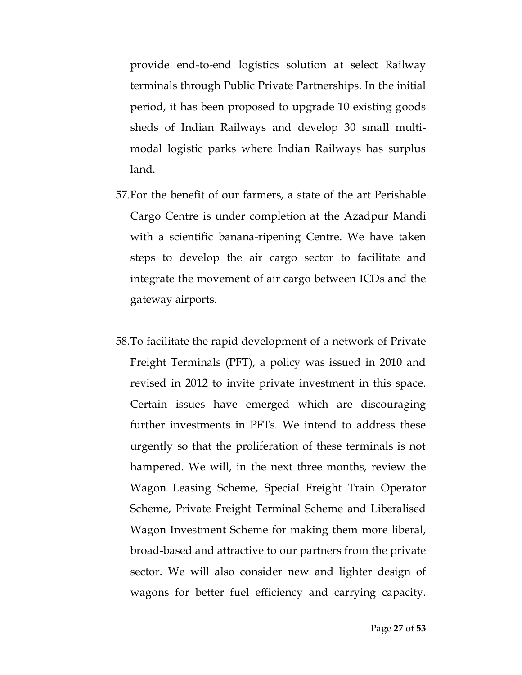provide end-to-end logistics solution at select Railway terminals through Public Private Partnerships. In the initial period, it has been proposed to upgrade 10 existing goods sheds of Indian Railways and develop 30 small multimodal logistic parks where Indian Railways has surplus land.

- 57.For the benefit of our farmers, a state of the art Perishable Cargo Centre is under completion at the Azadpur Mandi with a scientific banana-ripening Centre. We have taken steps to develop the air cargo sector to facilitate and integrate the movement of air cargo between ICDs and the gateway airports.
- 58.To facilitate the rapid development of a network of Private Freight Terminals (PFT), a policy was issued in 2010 and revised in 2012 to invite private investment in this space. Certain issues have emerged which are discouraging further investments in PFTs. We intend to address these urgently so that the proliferation of these terminals is not hampered. We will, in the next three months, review the Wagon Leasing Scheme, Special Freight Train Operator Scheme, Private Freight Terminal Scheme and Liberalised Wagon Investment Scheme for making them more liberal, broad-based and attractive to our partners from the private sector. We will also consider new and lighter design of wagons for better fuel efficiency and carrying capacity.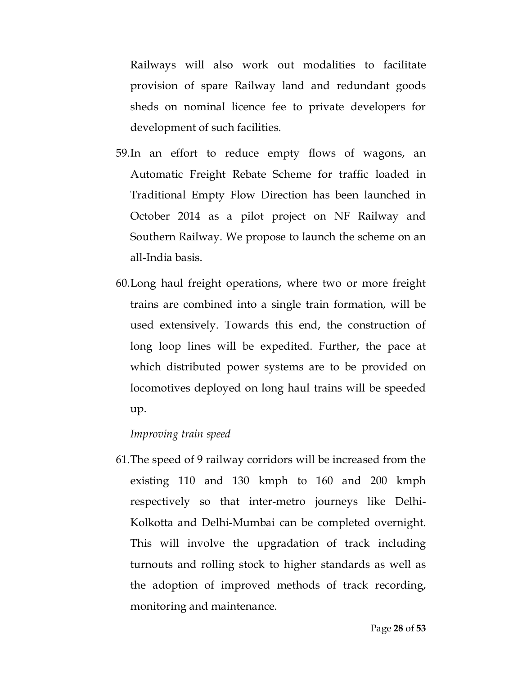Railways will also work out modalities to facilitate provision of spare Railway land and redundant goods sheds on nominal licence fee to private developers for development of such facilities.

- 59.In an effort to reduce empty flows of wagons, an Automatic Freight Rebate Scheme for traffic loaded in Traditional Empty Flow Direction has been launched in October 2014 as a pilot project on NF Railway and Southern Railway. We propose to launch the scheme on an all-India basis.
- 60.Long haul freight operations, where two or more freight trains are combined into a single train formation, will be used extensively. Towards this end, the construction of long loop lines will be expedited. Further, the pace at which distributed power systems are to be provided on locomotives deployed on long haul trains will be speeded up.

#### *Improving train speed*

61.The speed of 9 railway corridors will be increased from the existing 110 and 130 kmph to 160 and 200 kmph respectively so that inter-metro journeys like Delhi-Kolkotta and Delhi-Mumbai can be completed overnight. This will involve the upgradation of track including turnouts and rolling stock to higher standards as well as the adoption of improved methods of track recording, monitoring and maintenance.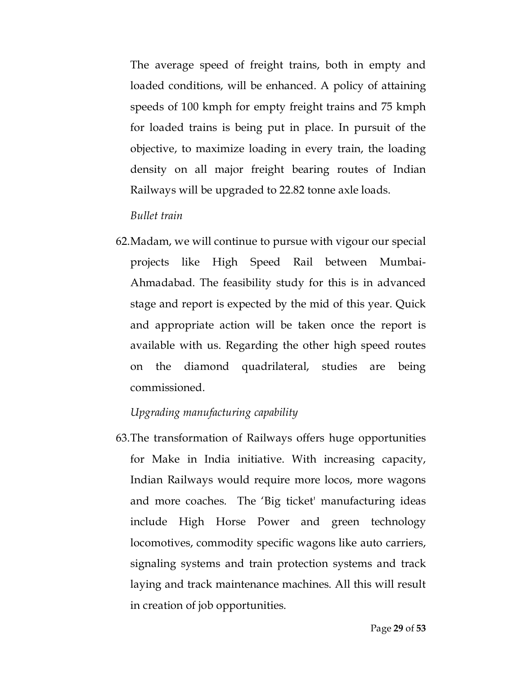The average speed of freight trains, both in empty and loaded conditions, will be enhanced. A policy of attaining speeds of 100 kmph for empty freight trains and 75 kmph for loaded trains is being put in place. In pursuit of the objective, to maximize loading in every train, the loading density on all major freight bearing routes of Indian Railways will be upgraded to 22.82 tonne axle loads.

## *Bullet train*

62.Madam, we will continue to pursue with vigour our special projects like High Speed Rail between Mumbai-Ahmadabad. The feasibility study for this is in advanced stage and report is expected by the mid of this year. Quick and appropriate action will be taken once the report is available with us. Regarding the other high speed routes on the diamond quadrilateral, studies are being commissioned.

## *Upgrading manufacturing capability*

63.The transformation of Railways offers huge opportunities for Make in India initiative. With increasing capacity, Indian Railways would require more locos, more wagons and more coaches. The 'Big ticket' manufacturing ideas include High Horse Power and green technology locomotives, commodity specific wagons like auto carriers, signaling systems and train protection systems and track laying and track maintenance machines. All this will result in creation of job opportunities.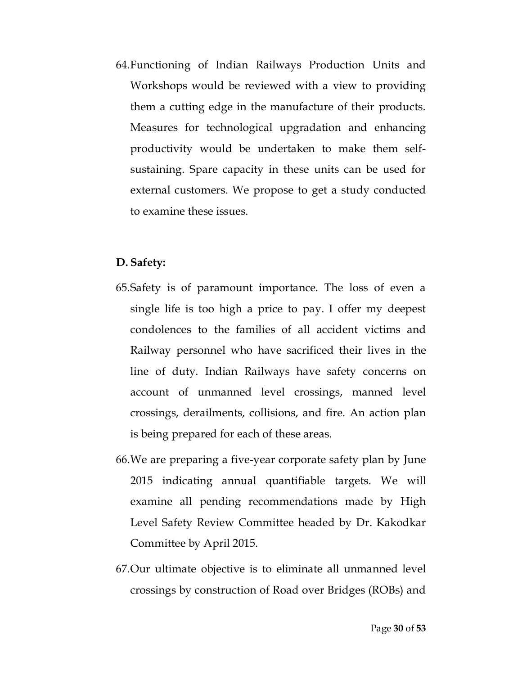64.Functioning of Indian Railways Production Units and Workshops would be reviewed with a view to providing them a cutting edge in the manufacture of their products. Measures for technological upgradation and enhancing productivity would be undertaken to make them selfsustaining. Spare capacity in these units can be used for external customers. We propose to get a study conducted to examine these issues.

## **D. Safety:**

- 65.Safety is of paramount importance. The loss of even a single life is too high a price to pay. I offer my deepest condolences to the families of all accident victims and Railway personnel who have sacrificed their lives in the line of duty. Indian Railways have safety concerns on account of unmanned level crossings, manned level crossings, derailments, collisions, and fire. An action plan is being prepared for each of these areas.
- 66.We are preparing a five-year corporate safety plan by June 2015 indicating annual quantifiable targets. We will examine all pending recommendations made by High Level Safety Review Committee headed by Dr. Kakodkar Committee by April 2015.
- 67.Our ultimate objective is to eliminate all unmanned level crossings by construction of Road over Bridges (ROBs) and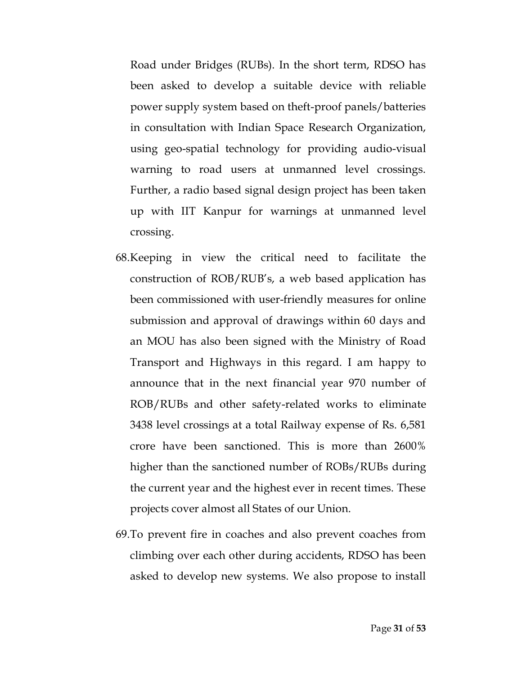Road under Bridges (RUBs). In the short term, RDSO has been asked to develop a suitable device with reliable power supply system based on theft-proof panels/batteries in consultation with Indian Space Research Organization, using geo-spatial technology for providing audio-visual warning to road users at unmanned level crossings. Further, a radio based signal design project has been taken up with IIT Kanpur for warnings at unmanned level crossing.

- 68.Keeping in view the critical need to facilitate the construction of ROB/RUB's, a web based application has been commissioned with user-friendly measures for online submission and approval of drawings within 60 days and an MOU has also been signed with the Ministry of Road Transport and Highways in this regard. I am happy to announce that in the next financial year 970 number of ROB/RUBs and other safety-related works to eliminate 3438 level crossings at a total Railway expense of Rs. 6,581 crore have been sanctioned. This is more than 2600% higher than the sanctioned number of ROBs/RUBs during the current year and the highest ever in recent times. These projects cover almost all States of our Union.
- 69.To prevent fire in coaches and also prevent coaches from climbing over each other during accidents, RDSO has been asked to develop new systems. We also propose to install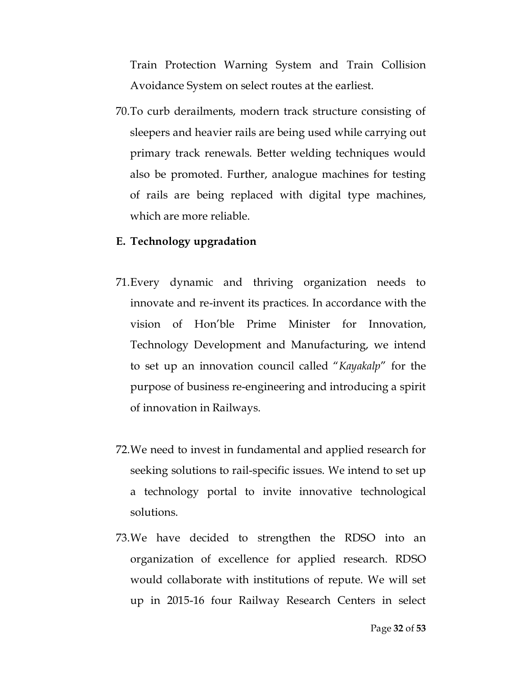Train Protection Warning System and Train Collision Avoidance System on select routes at the earliest.

70.To curb derailments, modern track structure consisting of sleepers and heavier rails are being used while carrying out primary track renewals. Better welding techniques would also be promoted. Further, analogue machines for testing of rails are being replaced with digital type machines, which are more reliable.

#### **E. Technology upgradation**

- 71.Every dynamic and thriving organization needs to innovate and re-invent its practices. In accordance with the vision of Hon'ble Prime Minister for Innovation, Technology Development and Manufacturing, we intend to set up an innovation council called "*Kayakalp*" for the purpose of business re-engineering and introducing a spirit of innovation in Railways.
- 72.We need to invest in fundamental and applied research for seeking solutions to rail-specific issues. We intend to set up a technology portal to invite innovative technological solutions.
- 73.We have decided to strengthen the RDSO into an organization of excellence for applied research. RDSO would collaborate with institutions of repute. We will set up in 2015-16 four Railway Research Centers in select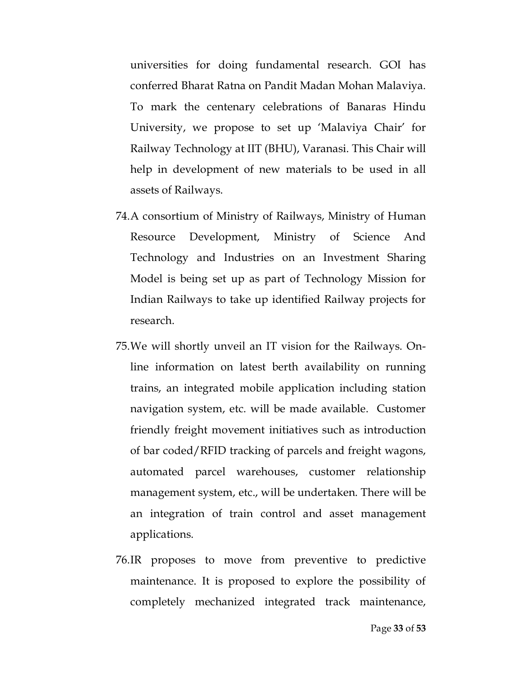universities for doing fundamental research. GOI has conferred Bharat Ratna on Pandit Madan Mohan Malaviya. To mark the centenary celebrations of Banaras Hindu University, we propose to set up 'Malaviya Chair' for Railway Technology at IIT (BHU), Varanasi. This Chair will help in development of new materials to be used in all assets of Railways.

- 74.A consortium of Ministry of Railways, Ministry of Human Resource Development, Ministry of Science And Technology and Industries on an Investment Sharing Model is being set up as part of Technology Mission for Indian Railways to take up identified Railway projects for research.
- 75.We will shortly unveil an IT vision for the Railways. Online information on latest berth availability on running trains, an integrated mobile application including station navigation system, etc. will be made available. Customer friendly freight movement initiatives such as introduction of bar coded/RFID tracking of parcels and freight wagons, automated parcel warehouses, customer relationship management system, etc., will be undertaken. There will be an integration of train control and asset management applications.
- 76.IR proposes to move from preventive to predictive maintenance. It is proposed to explore the possibility of completely mechanized integrated track maintenance,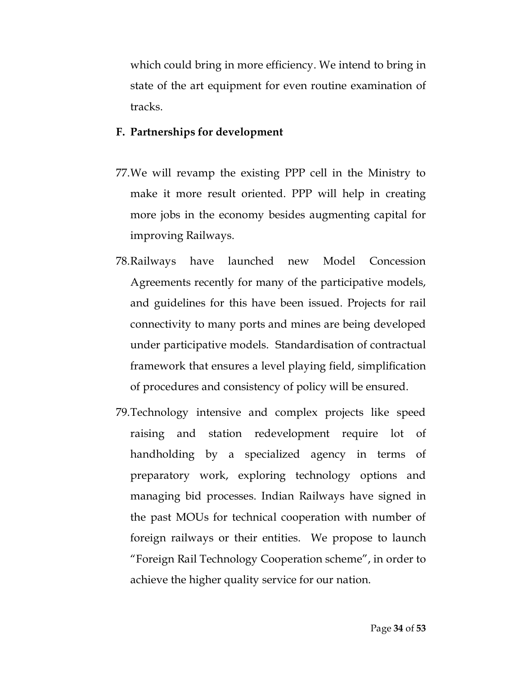which could bring in more efficiency. We intend to bring in state of the art equipment for even routine examination of tracks.

## **F. Partnerships for development**

- 77.We will revamp the existing PPP cell in the Ministry to make it more result oriented. PPP will help in creating more jobs in the economy besides augmenting capital for improving Railways.
- 78.Railways have launched new Model Concession Agreements recently for many of the participative models, and guidelines for this have been issued. Projects for rail connectivity to many ports and mines are being developed under participative models. Standardisation of contractual framework that ensures a level playing field, simplification of procedures and consistency of policy will be ensured.
- 79.Technology intensive and complex projects like speed raising and station redevelopment require lot of handholding by a specialized agency in terms of preparatory work, exploring technology options and managing bid processes. Indian Railways have signed in the past MOUs for technical cooperation with number of foreign railways or their entities. We propose to launch "Foreign Rail Technology Cooperation scheme", in order to achieve the higher quality service for our nation.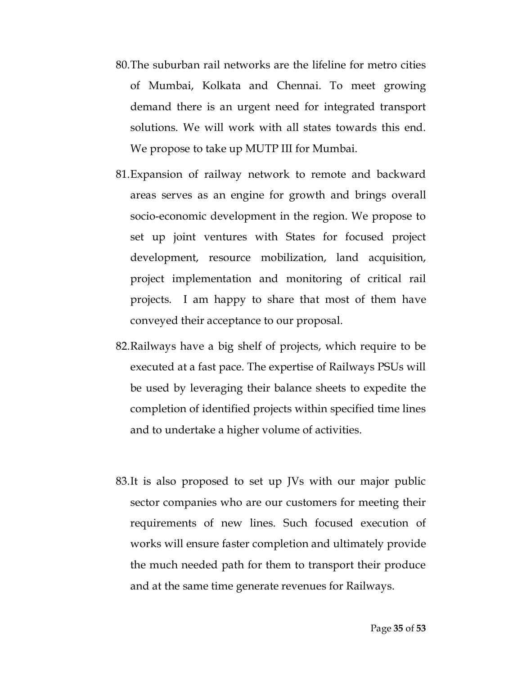- 80.The suburban rail networks are the lifeline for metro cities of Mumbai, Kolkata and Chennai. To meet growing demand there is an urgent need for integrated transport solutions. We will work with all states towards this end. We propose to take up MUTP III for Mumbai.
- 81.Expansion of railway network to remote and backward areas serves as an engine for growth and brings overall socio-economic development in the region. We propose to set up joint ventures with States for focused project development, resource mobilization, land acquisition, project implementation and monitoring of critical rail projects. I am happy to share that most of them have conveyed their acceptance to our proposal.
- 82.Railways have a big shelf of projects, which require to be executed at a fast pace. The expertise of Railways PSUs will be used by leveraging their balance sheets to expedite the completion of identified projects within specified time lines and to undertake a higher volume of activities.
- 83.It is also proposed to set up JVs with our major public sector companies who are our customers for meeting their requirements of new lines. Such focused execution of works will ensure faster completion and ultimately provide the much needed path for them to transport their produce and at the same time generate revenues for Railways.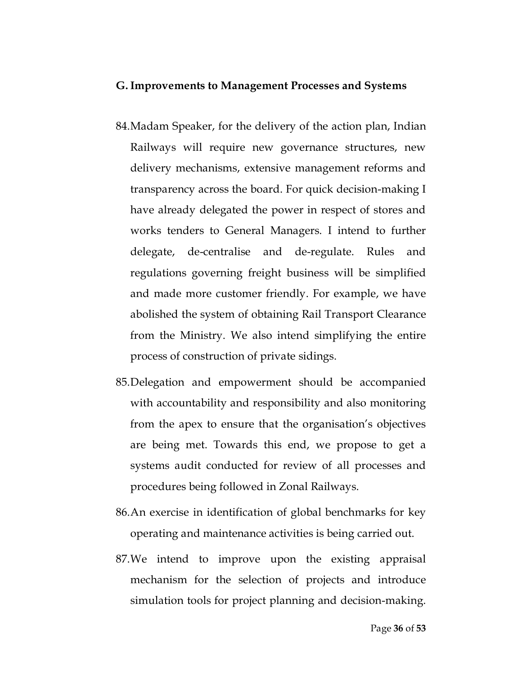#### **G.Improvements to Management Processes and Systems**

- 84.Madam Speaker, for the delivery of the action plan, Indian Railways will require new governance structures, new delivery mechanisms, extensive management reforms and transparency across the board. For quick decision-making I have already delegated the power in respect of stores and works tenders to General Managers. I intend to further delegate, de-centralise and de-regulate. Rules and regulations governing freight business will be simplified and made more customer friendly. For example, we have abolished the system of obtaining Rail Transport Clearance from the Ministry. We also intend simplifying the entire process of construction of private sidings.
- 85.Delegation and empowerment should be accompanied with accountability and responsibility and also monitoring from the apex to ensure that the organisation's objectives are being met. Towards this end, we propose to get a systems audit conducted for review of all processes and procedures being followed in Zonal Railways.
- 86.An exercise in identification of global benchmarks for key operating and maintenance activities is being carried out.
- 87.We intend to improve upon the existing appraisal mechanism for the selection of projects and introduce simulation tools for project planning and decision-making.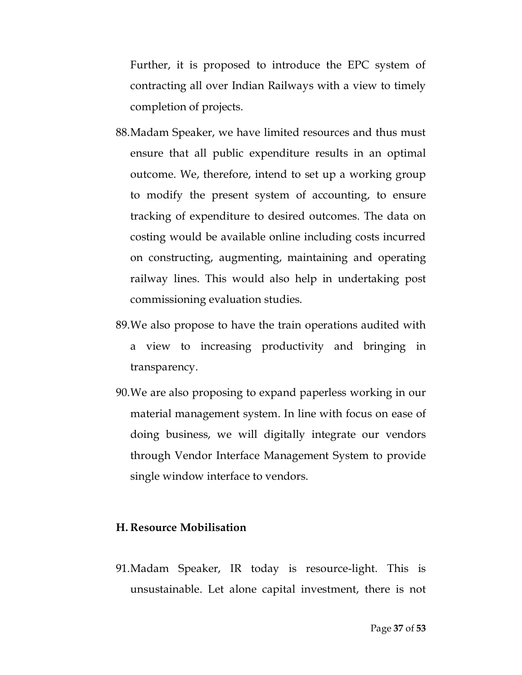Further, it is proposed to introduce the EPC system of contracting all over Indian Railways with a view to timely completion of projects.

- 88.Madam Speaker, we have limited resources and thus must ensure that all public expenditure results in an optimal outcome. We, therefore, intend to set up a working group to modify the present system of accounting, to ensure tracking of expenditure to desired outcomes. The data on costing would be available online including costs incurred on constructing, augmenting, maintaining and operating railway lines. This would also help in undertaking post commissioning evaluation studies.
- 89.We also propose to have the train operations audited with a view to increasing productivity and bringing in transparency.
- 90.We are also proposing to expand paperless working in our material management system. In line with focus on ease of doing business, we will digitally integrate our vendors through Vendor Interface Management System to provide single window interface to vendors.

### **H. Resource Mobilisation**

91.Madam Speaker, IR today is resource-light. This is unsustainable. Let alone capital investment, there is not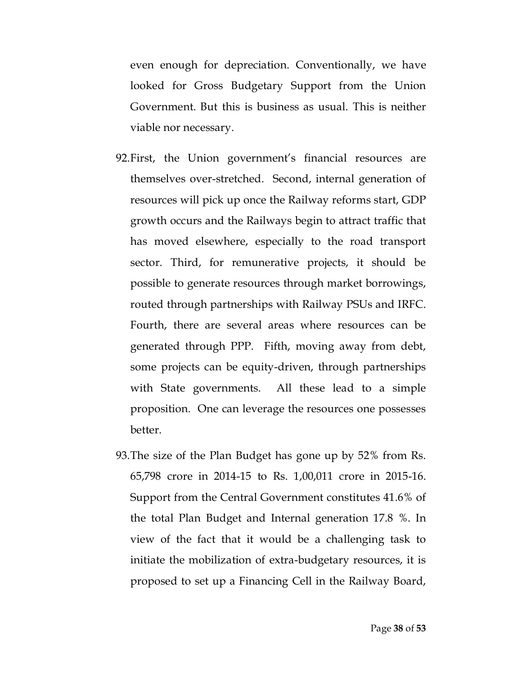even enough for depreciation. Conventionally, we have looked for Gross Budgetary Support from the Union Government. But this is business as usual. This is neither viable nor necessary.

- 92.First, the Union government's financial resources are themselves over-stretched. Second, internal generation of resources will pick up once the Railway reforms start, GDP growth occurs and the Railways begin to attract traffic that has moved elsewhere, especially to the road transport sector. Third, for remunerative projects, it should be possible to generate resources through market borrowings, routed through partnerships with Railway PSUs and IRFC. Fourth, there are several areas where resources can be generated through PPP. Fifth, moving away from debt, some projects can be equity-driven, through partnerships with State governments. All these lead to a simple proposition. One can leverage the resources one possesses better.
- 93.The size of the Plan Budget has gone up by 52% from Rs. 65,798 crore in 2014-15 to Rs. 1,00,011 crore in 2015-16. Support from the Central Government constitutes 41.6% of the total Plan Budget and Internal generation 17.8 %. In view of the fact that it would be a challenging task to initiate the mobilization of extra-budgetary resources, it is proposed to set up a Financing Cell in the Railway Board,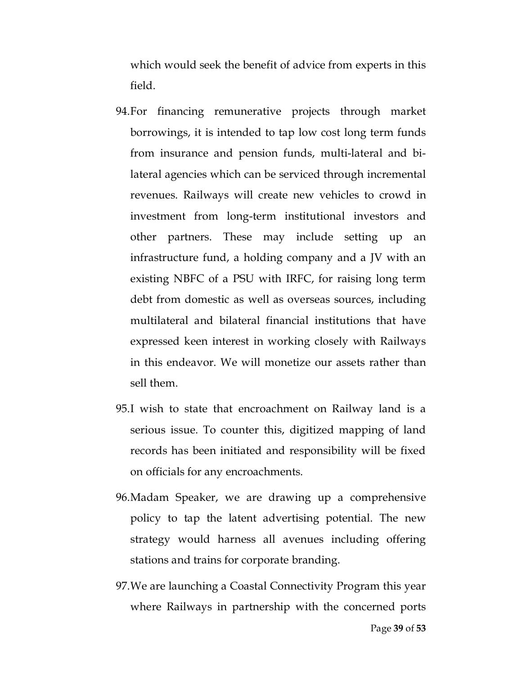which would seek the benefit of advice from experts in this field.

- 94.For financing remunerative projects through market borrowings, it is intended to tap low cost long term funds from insurance and pension funds, multi-lateral and bilateral agencies which can be serviced through incremental revenues. Railways will create new vehicles to crowd in investment from long-term institutional investors and other partners. These may include setting up an infrastructure fund, a holding company and a JV with an existing NBFC of a PSU with IRFC, for raising long term debt from domestic as well as overseas sources, including multilateral and bilateral financial institutions that have expressed keen interest in working closely with Railways in this endeavor. We will monetize our assets rather than sell them.
- 95.I wish to state that encroachment on Railway land is a serious issue. To counter this, digitized mapping of land records has been initiated and responsibility will be fixed on officials for any encroachments.
- 96.Madam Speaker, we are drawing up a comprehensive policy to tap the latent advertising potential. The new strategy would harness all avenues including offering stations and trains for corporate branding.
- 97.We are launching a Coastal Connectivity Program this year where Railways in partnership with the concerned ports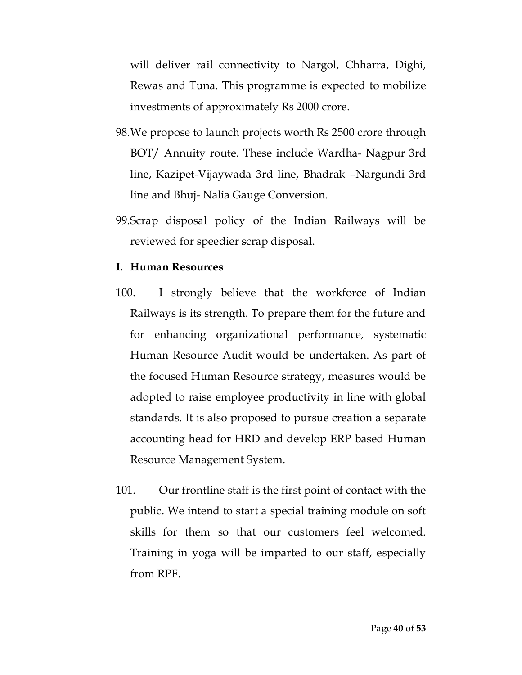will deliver rail connectivity to Nargol, Chharra, Dighi, Rewas and Tuna. This programme is expected to mobilize investments of approximately Rs 2000 crore.

- 98.We propose to launch projects worth Rs 2500 crore through BOT/ Annuity route. These include Wardha- Nagpur 3rd line, Kazipet-Vijaywada 3rd line, Bhadrak –Nargundi 3rd line and Bhuj- Nalia Gauge Conversion.
- 99.Scrap disposal policy of the Indian Railways will be reviewed for speedier scrap disposal.

#### **I. Human Resources**

- 100. I strongly believe that the workforce of Indian Railways is its strength. To prepare them for the future and for enhancing organizational performance, systematic Human Resource Audit would be undertaken. As part of the focused Human Resource strategy, measures would be adopted to raise employee productivity in line with global standards. It is also proposed to pursue creation a separate accounting head for HRD and develop ERP based Human Resource Management System.
- 101. Our frontline staff is the first point of contact with the public. We intend to start a special training module on soft skills for them so that our customers feel welcomed. Training in yoga will be imparted to our staff, especially from RPF.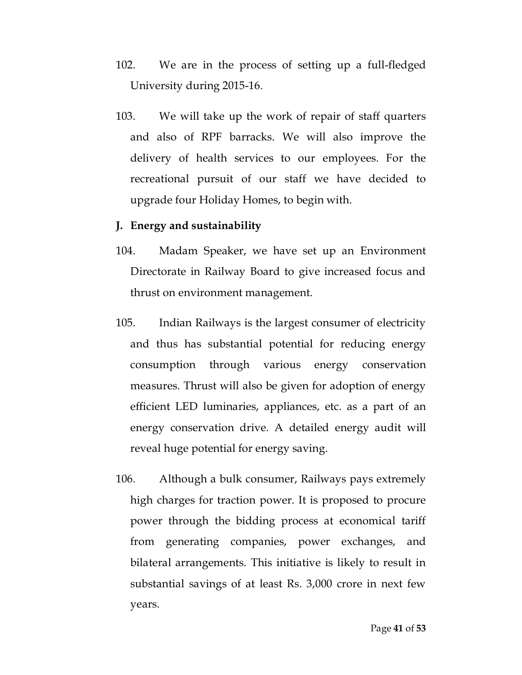- 102. We are in the process of setting up a full-fledged University during 2015-16.
- 103. We will take up the work of repair of staff quarters and also of RPF barracks. We will also improve the delivery of health services to our employees. For the recreational pursuit of our staff we have decided to upgrade four Holiday Homes, to begin with.

#### **J. Energy and sustainability**

- 104. Madam Speaker, we have set up an Environment Directorate in Railway Board to give increased focus and thrust on environment management.
- 105. Indian Railways is the largest consumer of electricity and thus has substantial potential for reducing energy consumption through various energy conservation measures. Thrust will also be given for adoption of energy efficient LED luminaries, appliances, etc. as a part of an energy conservation drive. A detailed energy audit will reveal huge potential for energy saving.
- 106. Although a bulk consumer, Railways pays extremely high charges for traction power. It is proposed to procure power through the bidding process at economical tariff from generating companies, power exchanges, and bilateral arrangements. This initiative is likely to result in substantial savings of at least Rs. 3,000 crore in next few years.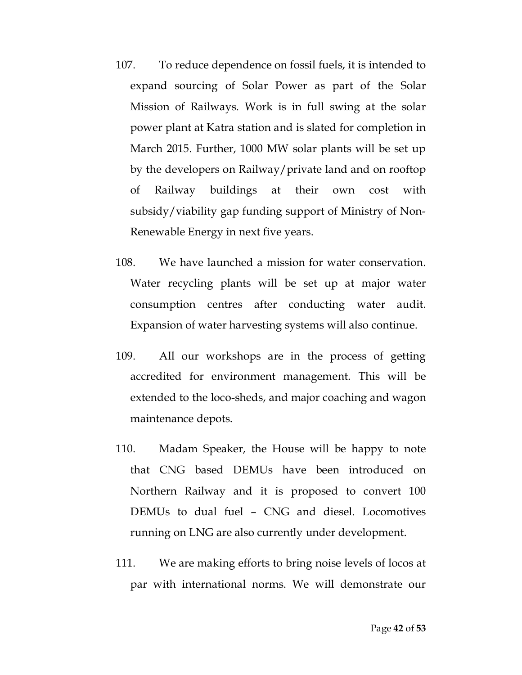- 107. To reduce dependence on fossil fuels, it is intended to expand sourcing of Solar Power as part of the Solar Mission of Railways. Work is in full swing at the solar power plant at Katra station and is slated for completion in March 2015. Further, 1000 MW solar plants will be set up by the developers on Railway/private land and on rooftop of Railway buildings at their own cost with subsidy/viability gap funding support of Ministry of Non-Renewable Energy in next five years.
- 108. We have launched a mission for water conservation. Water recycling plants will be set up at major water consumption centres after conducting water audit. Expansion of water harvesting systems will also continue.
- 109. All our workshops are in the process of getting accredited for environment management. This will be extended to the loco-sheds, and major coaching and wagon maintenance depots.
- 110. Madam Speaker, the House will be happy to note that CNG based DEMUs have been introduced on Northern Railway and it is proposed to convert 100 DEMUs to dual fuel – CNG and diesel. Locomotives running on LNG are also currently under development.
- 111. We are making efforts to bring noise levels of locos at par with international norms. We will demonstrate our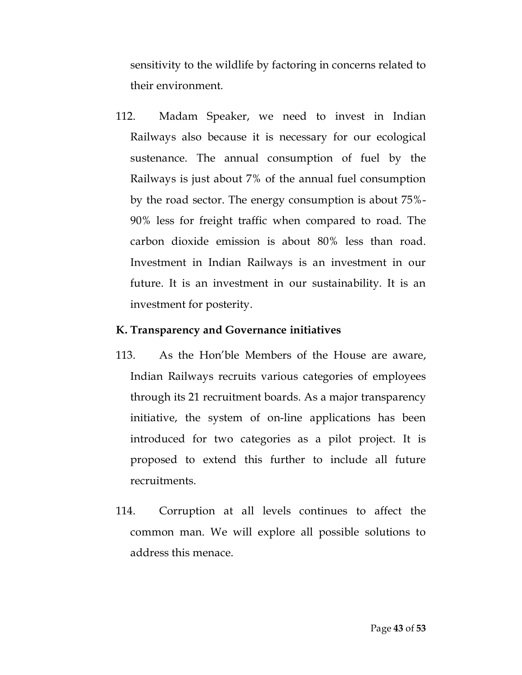sensitivity to the wildlife by factoring in concerns related to their environment.

112. Madam Speaker, we need to invest in Indian Railways also because it is necessary for our ecological sustenance. The annual consumption of fuel by the Railways is just about 7% of the annual fuel consumption by the road sector. The energy consumption is about 75%- 90% less for freight traffic when compared to road. The carbon dioxide emission is about 80% less than road. Investment in Indian Railways is an investment in our future. It is an investment in our sustainability. It is an investment for posterity.

## **K. Transparency and Governance initiatives**

- 113. As the Hon'ble Members of the House are aware, Indian Railways recruits various categories of employees through its 21 recruitment boards. As a major transparency initiative, the system of on-line applications has been introduced for two categories as a pilot project. It is proposed to extend this further to include all future recruitments.
- 114. Corruption at all levels continues to affect the common man. We will explore all possible solutions to address this menace.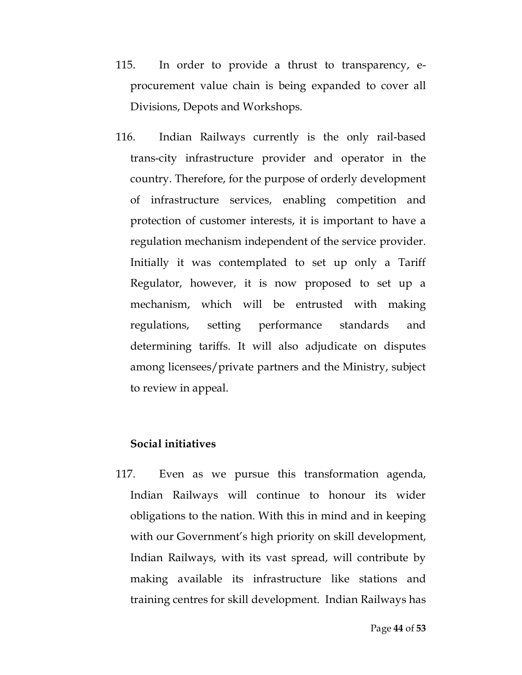- 115. In order to provide a thrust to transparency, eprocurement value chain is being expanded to cover all Divisions, Depots and Workshops.
- 116. Indian Railways currently is the only rail-based trans-city infrastructure provider and operator in the country. Therefore, for the purpose of orderly development of infrastructure services, enabling competition and protection of customer interests, it is important to have a regulation mechanism independent of the service provider. Initially it was contemplated to set up only a Tariff Regulator, however, it is now proposed to set up a mechanism, which will be entrusted with making regulations, setting performance standards and determining tariffs. It will also adjudicate on disputes among licensees/private partners and the Ministry, subject to review in appeal.

## **Social initiatives**

117. Even as we pursue this transformation agenda, Indian Railways will continue to honour its wider obligations to the nation. With this in mind and in keeping with our Government's high priority on skill development, Indian Railways, with its vast spread, will contribute by making available its infrastructure like stations and training centres for skill development. Indian Railways has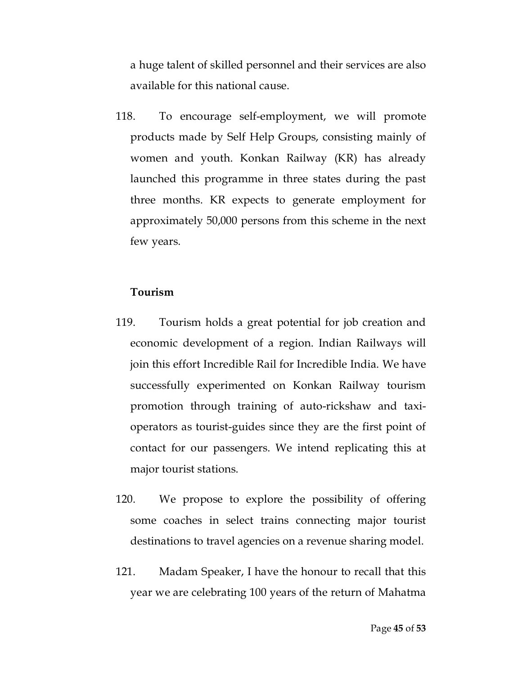a huge talent of skilled personnel and their services are also available for this national cause.

118. To encourage self-employment, we will promote products made by Self Help Groups, consisting mainly of women and youth. Konkan Railway (KR) has already launched this programme in three states during the past three months. KR expects to generate employment for approximately 50,000 persons from this scheme in the next few years.

## **Tourism**

- 119. Tourism holds a great potential for job creation and economic development of a region. Indian Railways will join this effort Incredible Rail for Incredible India. We have successfully experimented on Konkan Railway tourism promotion through training of auto-rickshaw and taxioperators as tourist-guides since they are the first point of contact for our passengers. We intend replicating this at major tourist stations.
- 120. We propose to explore the possibility of offering some coaches in select trains connecting major tourist destinations to travel agencies on a revenue sharing model.
- 121. Madam Speaker, I have the honour to recall that this year we are celebrating 100 years of the return of Mahatma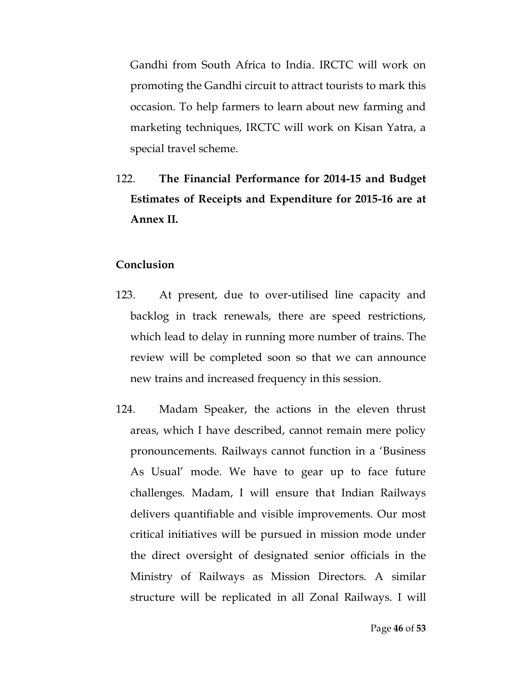Gandhi from South Africa to India. IRCTC will work on promoting the Gandhi circuit to attract tourists to mark this occasion. To help farmers to learn about new farming and marketing techniques, IRCTC will work on Kisan Yatra, a special travel scheme.

122. **The Financial Performance for 2014-15 and Budget Estimates of Receipts and Expenditure for 2015-16 are at Annex II.** 

## **Conclusion**

- 123. At present, due to over-utilised line capacity and backlog in track renewals, there are speed restrictions, which lead to delay in running more number of trains. The review will be completed soon so that we can announce new trains and increased frequency in this session.
- 124. Madam Speaker, the actions in the eleven thrust areas, which I have described, cannot remain mere policy pronouncements. Railways cannot function in a 'Business As Usual' mode. We have to gear up to face future challenges. Madam, I will ensure that Indian Railways delivers quantifiable and visible improvements. Our most critical initiatives will be pursued in mission mode under the direct oversight of designated senior officials in the Ministry of Railways as Mission Directors. A similar structure will be replicated in all Zonal Railways. I will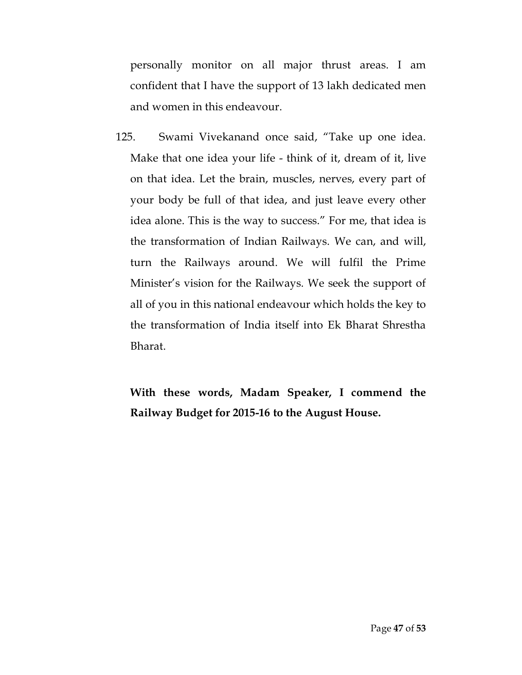personally monitor on all major thrust areas. I am confident that I have the support of 13 lakh dedicated men and women in this endeavour.

125. Swami Vivekanand once said, "Take up one idea. Make that one idea your life - think of it, dream of it, live on that idea. Let the brain, muscles, nerves, every part of your body be full of that idea, and just leave every other idea alone. This is the way to success." For me, that idea is the transformation of Indian Railways. We can, and will, turn the Railways around. We will fulfil the Prime Minister's vision for the Railways. We seek the support of all of you in this national endeavour which holds the key to the transformation of India itself into Ek Bharat Shrestha Bharat.

**With these words, Madam Speaker, I commend the Railway Budget for 2015-16 to the August House.**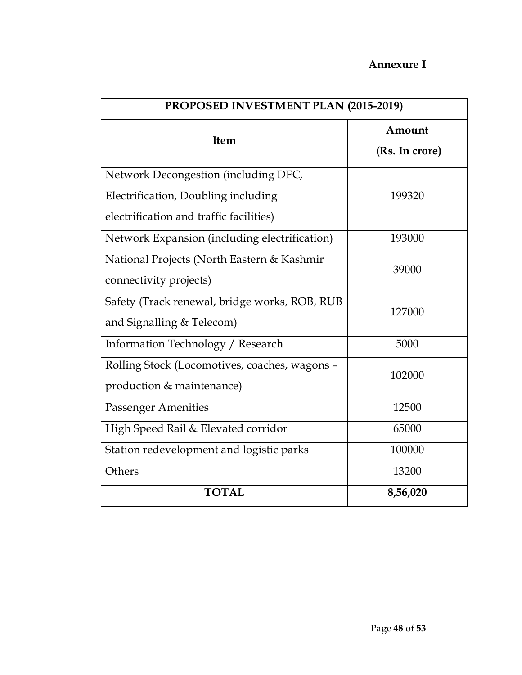## **Annexure I**

| PROPOSED INVESTMENT PLAN (2015-2019)                                                                                   |                          |
|------------------------------------------------------------------------------------------------------------------------|--------------------------|
| Item                                                                                                                   | Amount<br>(Rs. In crore) |
| Network Decongestion (including DFC,<br>Electrification, Doubling including<br>electrification and traffic facilities) | 199320                   |
| Network Expansion (including electrification)                                                                          | 193000                   |
| National Projects (North Eastern & Kashmir<br>connectivity projects)                                                   | 39000                    |
| Safety (Track renewal, bridge works, ROB, RUB<br>and Signalling & Telecom)                                             | 127000                   |
| Information Technology / Research                                                                                      | 5000                     |
| Rolling Stock (Locomotives, coaches, wagons -<br>production & maintenance)                                             | 102000                   |
| <b>Passenger Amenities</b>                                                                                             | 12500                    |
| High Speed Rail & Elevated corridor                                                                                    | 65000                    |
| Station redevelopment and logistic parks                                                                               | 100000                   |
| Others                                                                                                                 | 13200                    |
| <b>TOTAL</b>                                                                                                           | 8,56,020                 |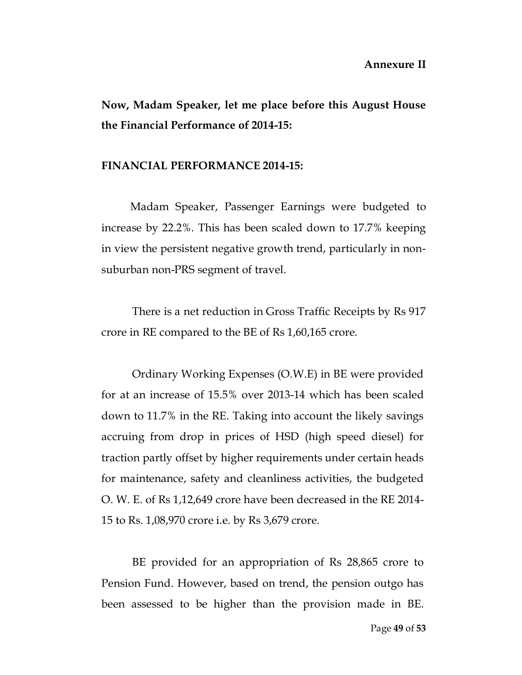**Now, Madam Speaker, let me place before this August House the Financial Performance of 2014-15:**

#### **FINANCIAL PERFORMANCE 2014-15:**

Madam Speaker, Passenger Earnings were budgeted to increase by 22.2%. This has been scaled down to 17.7% keeping in view the persistent negative growth trend, particularly in nonsuburban non-PRS segment of travel.

There is a net reduction in Gross Traffic Receipts by Rs 917 crore in RE compared to the BE of Rs 1,60,165 crore.

Ordinary Working Expenses (O.W.E) in BE were provided for at an increase of 15.5% over 2013-14 which has been scaled down to 11.7% in the RE. Taking into account the likely savings accruing from drop in prices of HSD (high speed diesel) for traction partly offset by higher requirements under certain heads for maintenance, safety and cleanliness activities, the budgeted O. W. E. of Rs 1,12,649 crore have been decreased in the RE 2014- 15 to Rs. 1,08,970 crore i.e. by Rs 3,679 crore.

BE provided for an appropriation of Rs 28,865 crore to Pension Fund. However, based on trend, the pension outgo has been assessed to be higher than the provision made in BE.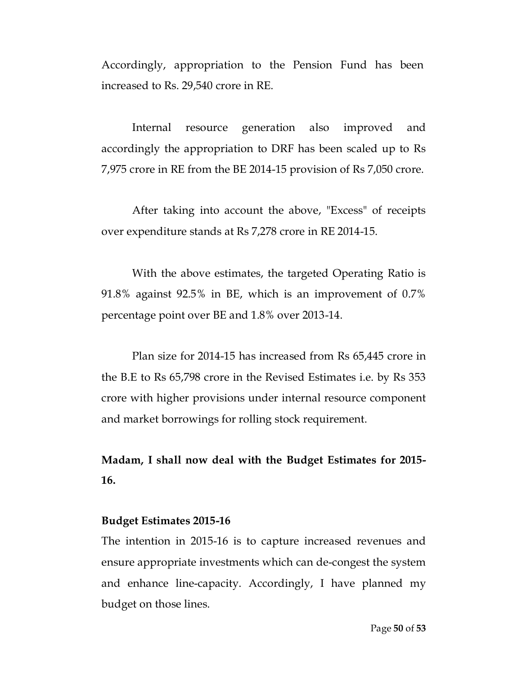Accordingly, appropriation to the Pension Fund has been increased to Rs. 29,540 crore in RE.

Internal resource generation also improved and accordingly the appropriation to DRF has been scaled up to Rs 7,975 crore in RE from the BE 2014-15 provision of Rs 7,050 crore.

After taking into account the above, "Excess" of receipts over expenditure stands at Rs 7,278 crore in RE 2014-15.

With the above estimates, the targeted Operating Ratio is 91.8% against 92.5% in BE, which is an improvement of 0.7% percentage point over BE and 1.8% over 2013-14.

Plan size for 2014-15 has increased from Rs 65,445 crore in the B.E to Rs 65,798 crore in the Revised Estimates i.e. by Rs 353 crore with higher provisions under internal resource component and market borrowings for rolling stock requirement.

**Madam, I shall now deal with the Budget Estimates for 2015- 16.**

#### **Budget Estimates 2015-16**

The intention in 2015-16 is to capture increased revenues and ensure appropriate investments which can de-congest the system and enhance line-capacity. Accordingly, I have planned my budget on those lines.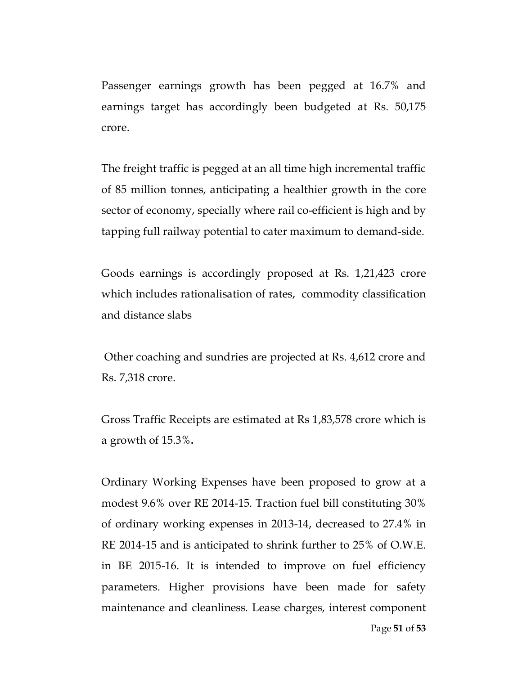Passenger earnings growth has been pegged at 16.7% and earnings target has accordingly been budgeted at Rs. 50,175 crore.

The freight traffic is pegged at an all time high incremental traffic of 85 million tonnes, anticipating a healthier growth in the core sector of economy, specially where rail co-efficient is high and by tapping full railway potential to cater maximum to demand-side.

Goods earnings is accordingly proposed at Rs. 1,21,423 crore which includes rationalisation of rates, commodity classification and distance slabs

Other coaching and sundries are projected at Rs. 4,612 crore and Rs. 7,318 crore.

Gross Traffic Receipts are estimated at Rs 1,83,578 crore which is a growth of 15.3%**.**

Ordinary Working Expenses have been proposed to grow at a modest 9.6% over RE 2014-15. Traction fuel bill constituting 30% of ordinary working expenses in 2013-14, decreased to 27.4% in RE 2014-15 and is anticipated to shrink further to 25% of O.W.E. in BE 2015-16. It is intended to improve on fuel efficiency parameters. Higher provisions have been made for safety maintenance and cleanliness. Lease charges, interest component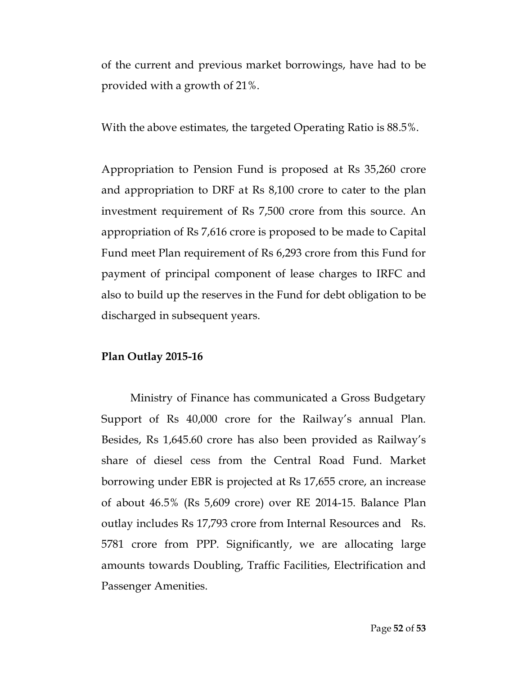of the current and previous market borrowings, have had to be provided with a growth of 21%.

With the above estimates, the targeted Operating Ratio is 88.5%.

Appropriation to Pension Fund is proposed at Rs 35,260 crore and appropriation to DRF at Rs 8,100 crore to cater to the plan investment requirement of Rs 7,500 crore from this source. An appropriation of Rs 7,616 crore is proposed to be made to Capital Fund meet Plan requirement of Rs 6,293 crore from this Fund for payment of principal component of lease charges to IRFC and also to build up the reserves in the Fund for debt obligation to be discharged in subsequent years.

## **Plan Outlay 2015-16**

Ministry of Finance has communicated a Gross Budgetary Support of Rs 40,000 crore for the Railway's annual Plan. Besides, Rs 1,645.60 crore has also been provided as Railway's share of diesel cess from the Central Road Fund. Market borrowing under EBR is projected at Rs 17,655 crore, an increase of about 46.5% (Rs 5,609 crore) over RE 2014-15. Balance Plan outlay includes Rs 17,793 crore from Internal Resources and Rs. 5781 crore from PPP. Significantly, we are allocating large amounts towards Doubling, Traffic Facilities, Electrification and Passenger Amenities.